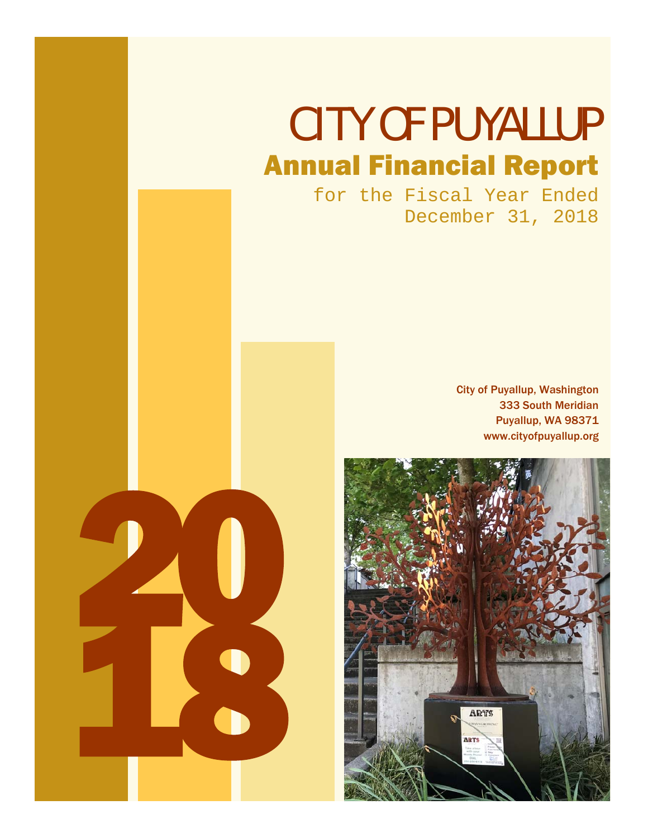# CITY OF PUYALLUP Annual Financial Report

for the Fiscal Year Ended December 31, 2018

> City of Puyallup, Washington 333 South Meridian Puyallup, WA 98371 www.cityofpuyallup.org



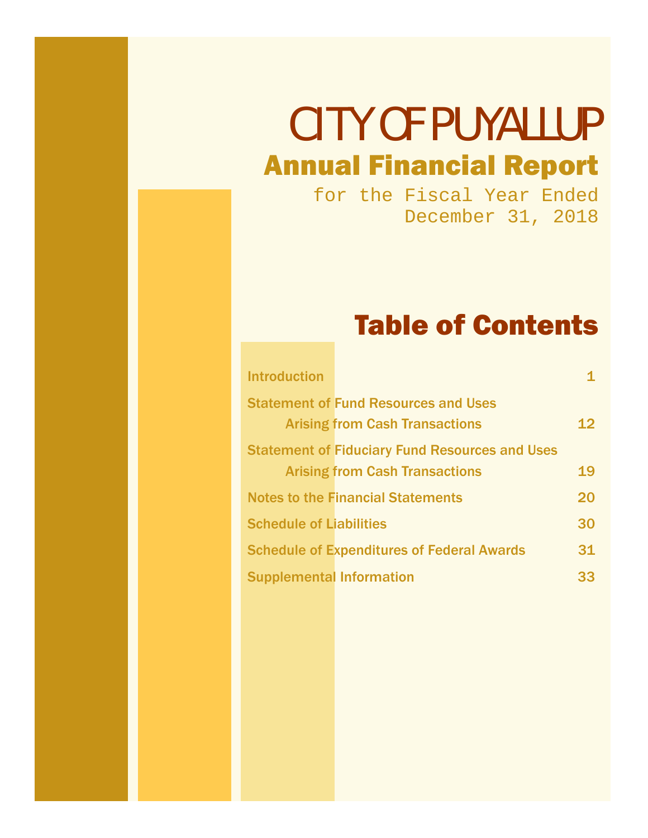# CITY OF PUYALLUP Annual Financial Report

for the Fiscal Year Ended December 31, 2018

# Table of Contents

| <b>Introduction</b>                                   |    |
|-------------------------------------------------------|----|
| <b>Statement of Fund Resources and Uses</b>           |    |
| <b>Arising from Cash Transactions</b>                 | 12 |
| <b>Statement of Fiduciary Fund Resources and Uses</b> |    |
| <b>Arising from Cash Transactions</b>                 | 19 |
| <b>Notes to the Financial Statements</b>              | 20 |
| <b>Schedule of Liabilities</b>                        | 30 |
| <b>Schedule of Expenditures of Federal Awards</b>     | 31 |
| <b>Supplemental Information</b>                       | 33 |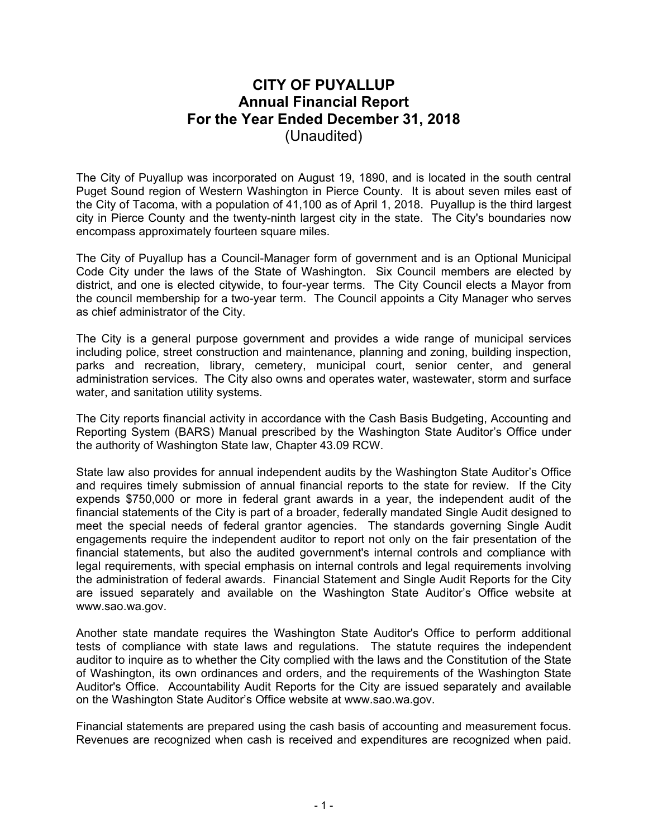# **CITY OF PUYALLUP Annual Financial Report For the Year Ended December 31, 2018**  (Unaudited)

The City of Puyallup was incorporated on August 19, 1890, and is located in the south central Puget Sound region of Western Washington in Pierce County. It is about seven miles east of the City of Tacoma, with a population of 41,100 as of April 1, 2018. Puyallup is the third largest city in Pierce County and the twenty-ninth largest city in the state. The City's boundaries now encompass approximately fourteen square miles.

The City of Puyallup has a Council-Manager form of government and is an Optional Municipal Code City under the laws of the State of Washington. Six Council members are elected by district, and one is elected citywide, to four-year terms. The City Council elects a Mayor from the council membership for a two-year term. The Council appoints a City Manager who serves as chief administrator of the City.

The City is a general purpose government and provides a wide range of municipal services including police, street construction and maintenance, planning and zoning, building inspection, parks and recreation, library, cemetery, municipal court, senior center, and general administration services. The City also owns and operates water, wastewater, storm and surface water, and sanitation utility systems.

The City reports financial activity in accordance with the Cash Basis Budgeting, Accounting and Reporting System (BARS) Manual prescribed by the Washington State Auditor's Office under the authority of Washington State law, Chapter 43.09 RCW.

State law also provides for annual independent audits by the Washington State Auditor's Office and requires timely submission of annual financial reports to the state for review. If the City expends \$750,000 or more in federal grant awards in a year, the independent audit of the financial statements of the City is part of a broader, federally mandated Single Audit designed to meet the special needs of federal grantor agencies. The standards governing Single Audit engagements require the independent auditor to report not only on the fair presentation of the financial statements, but also the audited government's internal controls and compliance with legal requirements, with special emphasis on internal controls and legal requirements involving the administration of federal awards. Financial Statement and Single Audit Reports for the City are issued separately and available on the Washington State Auditor's Office website at www.sao.wa.gov.

Another state mandate requires the Washington State Auditor's Office to perform additional tests of compliance with state laws and regulations. The statute requires the independent auditor to inquire as to whether the City complied with the laws and the Constitution of the State of Washington, its own ordinances and orders, and the requirements of the Washington State Auditor's Office. Accountability Audit Reports for the City are issued separately and available on the Washington State Auditor's Office website at www.sao.wa.gov.

Financial statements are prepared using the cash basis of accounting and measurement focus. Revenues are recognized when cash is received and expenditures are recognized when paid.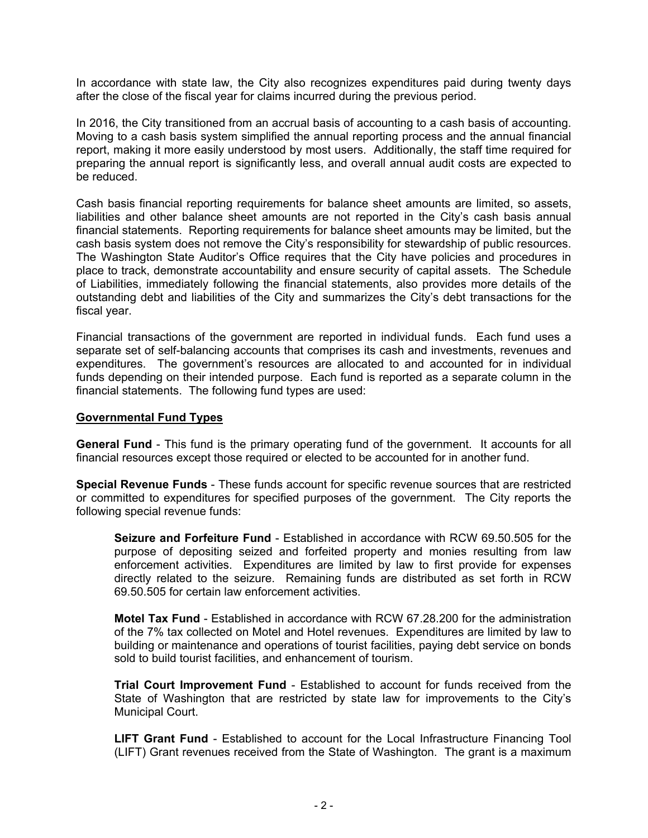In accordance with state law, the City also recognizes expenditures paid during twenty days after the close of the fiscal year for claims incurred during the previous period.

In 2016, the City transitioned from an accrual basis of accounting to a cash basis of accounting. Moving to a cash basis system simplified the annual reporting process and the annual financial report, making it more easily understood by most users. Additionally, the staff time required for preparing the annual report is significantly less, and overall annual audit costs are expected to be reduced.

Cash basis financial reporting requirements for balance sheet amounts are limited, so assets, liabilities and other balance sheet amounts are not reported in the City's cash basis annual financial statements. Reporting requirements for balance sheet amounts may be limited, but the cash basis system does not remove the City's responsibility for stewardship of public resources. The Washington State Auditor's Office requires that the City have policies and procedures in place to track, demonstrate accountability and ensure security of capital assets. The Schedule of Liabilities, immediately following the financial statements, also provides more details of the outstanding debt and liabilities of the City and summarizes the City's debt transactions for the fiscal year.

Financial transactions of the government are reported in individual funds. Each fund uses a separate set of self-balancing accounts that comprises its cash and investments, revenues and expenditures. The government's resources are allocated to and accounted for in individual funds depending on their intended purpose. Each fund is reported as a separate column in the financial statements. The following fund types are used:

#### **Governmental Fund Types**

**General Fund** - This fund is the primary operating fund of the government. It accounts for all financial resources except those required or elected to be accounted for in another fund.

**Special Revenue Funds** - These funds account for specific revenue sources that are restricted or committed to expenditures for specified purposes of the government. The City reports the following special revenue funds:

**Seizure and Forfeiture Fund** - Established in accordance with RCW 69.50.505 for the purpose of depositing seized and forfeited property and monies resulting from law enforcement activities. Expenditures are limited by law to first provide for expenses directly related to the seizure. Remaining funds are distributed as set forth in RCW 69.50.505 for certain law enforcement activities.

**Motel Tax Fund** - Established in accordance with RCW 67.28.200 for the administration of the 7% tax collected on Motel and Hotel revenues. Expenditures are limited by law to building or maintenance and operations of tourist facilities, paying debt service on bonds sold to build tourist facilities, and enhancement of tourism.

**Trial Court Improvement Fund** - Established to account for funds received from the State of Washington that are restricted by state law for improvements to the City's Municipal Court.

**LIFT Grant Fund** - Established to account for the Local Infrastructure Financing Tool (LIFT) Grant revenues received from the State of Washington. The grant is a maximum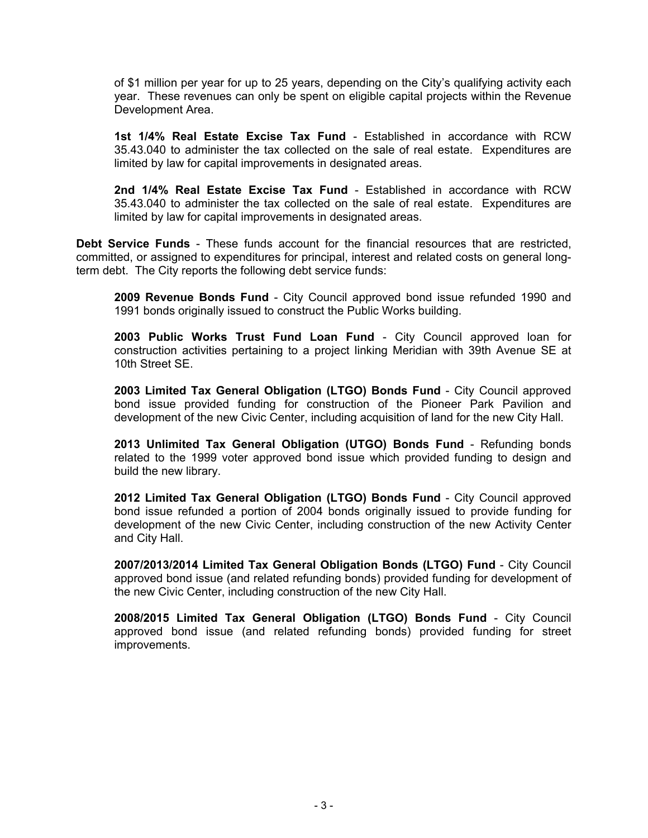of \$1 million per year for up to 25 years, depending on the City's qualifying activity each year. These revenues can only be spent on eligible capital projects within the Revenue Development Area.

**1st 1/4% Real Estate Excise Tax Fund** - Established in accordance with RCW 35.43.040 to administer the tax collected on the sale of real estate. Expenditures are limited by law for capital improvements in designated areas.

**2nd 1/4% Real Estate Excise Tax Fund** - Established in accordance with RCW 35.43.040 to administer the tax collected on the sale of real estate. Expenditures are limited by law for capital improvements in designated areas.

**Debt Service Funds** - These funds account for the financial resources that are restricted, committed, or assigned to expenditures for principal, interest and related costs on general longterm debt. The City reports the following debt service funds:

**2009 Revenue Bonds Fund** - City Council approved bond issue refunded 1990 and 1991 bonds originally issued to construct the Public Works building.

**2003 Public Works Trust Fund Loan Fund** - City Council approved loan for construction activities pertaining to a project linking Meridian with 39th Avenue SE at 10th Street SE.

**2003 Limited Tax General Obligation (LTGO) Bonds Fund** - City Council approved bond issue provided funding for construction of the Pioneer Park Pavilion and development of the new Civic Center, including acquisition of land for the new City Hall.

**2013 Unlimited Tax General Obligation (UTGO) Bonds Fund** - Refunding bonds related to the 1999 voter approved bond issue which provided funding to design and build the new library.

**2012 Limited Tax General Obligation (LTGO) Bonds Fund** - City Council approved bond issue refunded a portion of 2004 bonds originally issued to provide funding for development of the new Civic Center, including construction of the new Activity Center and City Hall.

**2007/2013/2014 Limited Tax General Obligation Bonds (LTGO) Fund** - City Council approved bond issue (and related refunding bonds) provided funding for development of the new Civic Center, including construction of the new City Hall.

**2008/2015 Limited Tax General Obligation (LTGO) Bonds Fund** - City Council approved bond issue (and related refunding bonds) provided funding for street improvements.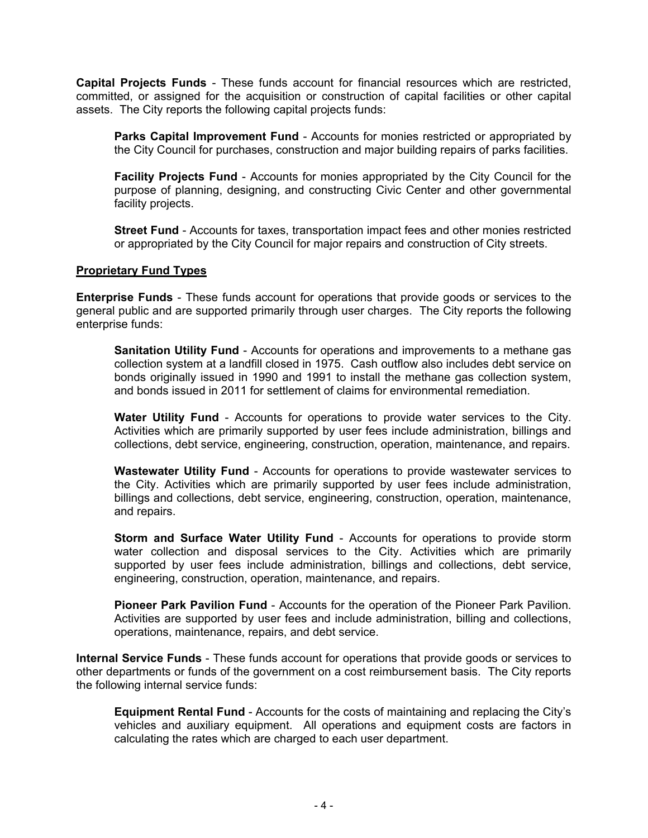**Capital Projects Funds** - These funds account for financial resources which are restricted, committed, or assigned for the acquisition or construction of capital facilities or other capital assets. The City reports the following capital projects funds:

**Parks Capital Improvement Fund** - Accounts for monies restricted or appropriated by the City Council for purchases, construction and major building repairs of parks facilities.

**Facility Projects Fund** - Accounts for monies appropriated by the City Council for the purpose of planning, designing, and constructing Civic Center and other governmental facility projects.

**Street Fund** - Accounts for taxes, transportation impact fees and other monies restricted or appropriated by the City Council for major repairs and construction of City streets.

#### **Proprietary Fund Types**

**Enterprise Funds** - These funds account for operations that provide goods or services to the general public and are supported primarily through user charges. The City reports the following enterprise funds:

**Sanitation Utility Fund** - Accounts for operations and improvements to a methane gas collection system at a landfill closed in 1975. Cash outflow also includes debt service on bonds originally issued in 1990 and 1991 to install the methane gas collection system, and bonds issued in 2011 for settlement of claims for environmental remediation.

**Water Utility Fund** - Accounts for operations to provide water services to the City. Activities which are primarily supported by user fees include administration, billings and collections, debt service, engineering, construction, operation, maintenance, and repairs.

**Wastewater Utility Fund** - Accounts for operations to provide wastewater services to the City. Activities which are primarily supported by user fees include administration, billings and collections, debt service, engineering, construction, operation, maintenance, and repairs.

**Storm and Surface Water Utility Fund** - Accounts for operations to provide storm water collection and disposal services to the City. Activities which are primarily supported by user fees include administration, billings and collections, debt service, engineering, construction, operation, maintenance, and repairs.

**Pioneer Park Pavilion Fund** - Accounts for the operation of the Pioneer Park Pavilion. Activities are supported by user fees and include administration, billing and collections, operations, maintenance, repairs, and debt service.

**Internal Service Funds** - These funds account for operations that provide goods or services to other departments or funds of the government on a cost reimbursement basis. The City reports the following internal service funds:

**Equipment Rental Fund** - Accounts for the costs of maintaining and replacing the City's vehicles and auxiliary equipment. All operations and equipment costs are factors in calculating the rates which are charged to each user department.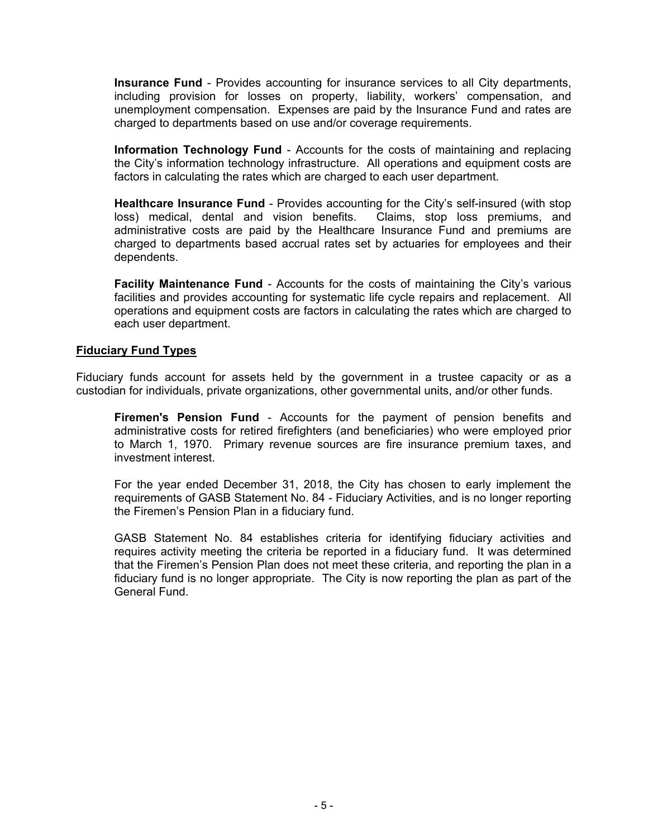**Insurance Fund** - Provides accounting for insurance services to all City departments, including provision for losses on property, liability, workers' compensation, and unemployment compensation. Expenses are paid by the Insurance Fund and rates are charged to departments based on use and/or coverage requirements.

**Information Technology Fund** - Accounts for the costs of maintaining and replacing the City's information technology infrastructure. All operations and equipment costs are factors in calculating the rates which are charged to each user department.

**Healthcare Insurance Fund** - Provides accounting for the City's self-insured (with stop loss) medical, dental and vision benefits. Claims, stop loss premiums, and administrative costs are paid by the Healthcare Insurance Fund and premiums are charged to departments based accrual rates set by actuaries for employees and their dependents.

**Facility Maintenance Fund** - Accounts for the costs of maintaining the City's various facilities and provides accounting for systematic life cycle repairs and replacement. All operations and equipment costs are factors in calculating the rates which are charged to each user department.

#### **Fiduciary Fund Types**

Fiduciary funds account for assets held by the government in a trustee capacity or as a custodian for individuals, private organizations, other governmental units, and/or other funds.

**Firemen's Pension Fund** - Accounts for the payment of pension benefits and administrative costs for retired firefighters (and beneficiaries) who were employed prior to March 1, 1970. Primary revenue sources are fire insurance premium taxes, and investment interest.

For the year ended December 31, 2018, the City has chosen to early implement the requirements of GASB Statement No. 84 - Fiduciary Activities, and is no longer reporting the Firemen's Pension Plan in a fiduciary fund.

GASB Statement No. 84 establishes criteria for identifying fiduciary activities and requires activity meeting the criteria be reported in a fiduciary fund. It was determined that the Firemen's Pension Plan does not meet these criteria, and reporting the plan in a fiduciary fund is no longer appropriate. The City is now reporting the plan as part of the General Fund.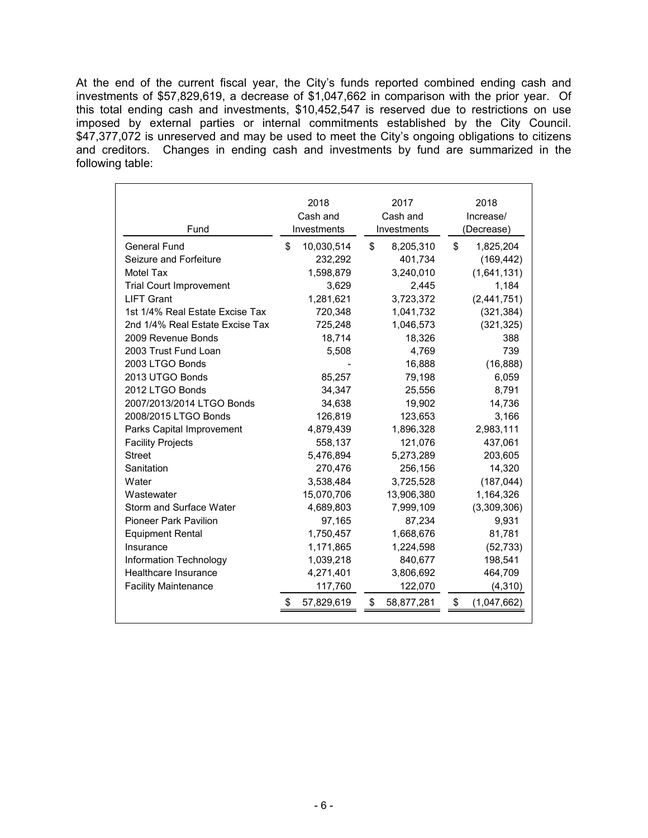At the end of the current fiscal year, the City's funds reported combined ending cash and investments of \$57,829,619, a decrease of \$1,047,662 in comparison with the prior year. Of this total ending cash and investments, \$10,452,547 is reserved due to restrictions on use imposed by external parties or internal commitments established by the City Council. \$47,377,072 is unreserved and may be used to meet the City's ongoing obligations to citizens and creditors. Changes in ending cash and investments by fund are summarized in the following table:

| Fund                            | 2018<br>Cash and<br>Investments |            | 2017<br>Cash and | 2018<br>Increase/ |            |             |
|---------------------------------|---------------------------------|------------|------------------|-------------------|------------|-------------|
|                                 |                                 |            |                  | Investments       | (Decrease) |             |
| General Fund                    | \$                              | 10,030,514 | \$               | 8,205,310         | \$         | 1,825,204   |
| Seizure and Forfeiture          |                                 | 232,292    |                  | 401,734           |            | (169, 442)  |
| Motel Tax                       |                                 | 1,598,879  |                  | 3,240,010         |            | (1,641,131) |
| <b>Trial Court Improvement</b>  |                                 | 3,629      |                  | 2,445             |            | 1,184       |
| <b>LIFT Grant</b>               |                                 | 1,281,621  |                  | 3,723,372         |            | (2,441,751) |
| 1st 1/4% Real Estate Excise Tax |                                 | 720,348    |                  | 1,041,732         |            | (321, 384)  |
| 2nd 1/4% Real Estate Excise Tax |                                 | 725,248    |                  | 1,046,573         |            | (321, 325)  |
| 2009 Revenue Bonds              |                                 | 18,714     |                  | 18,326            |            | 388         |
| 2003 Trust Fund Loan            |                                 | 5,508      |                  | 4,769             |            | 739         |
| 2003 LTGO Bonds                 |                                 |            |                  | 16,888            |            | (16, 888)   |
| 2013 UTGO Bonds                 |                                 | 85,257     |                  | 79,198            |            | 6,059       |
| 2012 LTGO Bonds                 |                                 | 34,347     |                  | 25,556            |            | 8,791       |
| 2007/2013/2014 LTGO Bonds       |                                 | 34,638     |                  | 19,902            |            | 14,736      |
| 2008/2015 LTGO Bonds            |                                 | 126,819    |                  | 123,653           |            | 3,166       |
| Parks Capital Improvement       |                                 | 4,879,439  |                  | 1,896,328         |            | 2,983,111   |
| <b>Facility Projects</b>        |                                 | 558,137    |                  | 121,076           |            | 437,061     |
| <b>Street</b>                   |                                 | 5,476,894  |                  | 5,273,289         |            | 203,605     |
| Sanitation                      |                                 | 270,476    |                  | 256,156           |            | 14,320      |
| Water                           |                                 | 3,538,484  |                  | 3,725,528         |            | (187, 044)  |
| Wastewater                      |                                 | 15,070,706 |                  | 13,906,380        |            | 1,164,326   |
| Storm and Surface Water         |                                 | 4,689,803  |                  | 7,999,109         |            | (3,309,306) |
| <b>Pioneer Park Pavilion</b>    |                                 | 97,165     |                  | 87,234            |            | 9,931       |
| <b>Equipment Rental</b>         |                                 | 1,750,457  |                  | 1,668,676         |            | 81,781      |
| Insurance                       |                                 | 1,171,865  |                  | 1,224,598         |            | (52, 733)   |
| Information Technology          |                                 | 1,039,218  |                  | 840,677           |            | 198,541     |
| Healthcare Insurance            |                                 | 4,271,401  |                  | 3,806,692         |            | 464,709     |
| <b>Facility Maintenance</b>     |                                 | 117,760    |                  | 122,070           |            | (4, 310)    |
|                                 |                                 | 57,829,619 | \$               | 58,877,281        | \$         | (1,047,662) |
|                                 |                                 |            |                  |                   |            |             |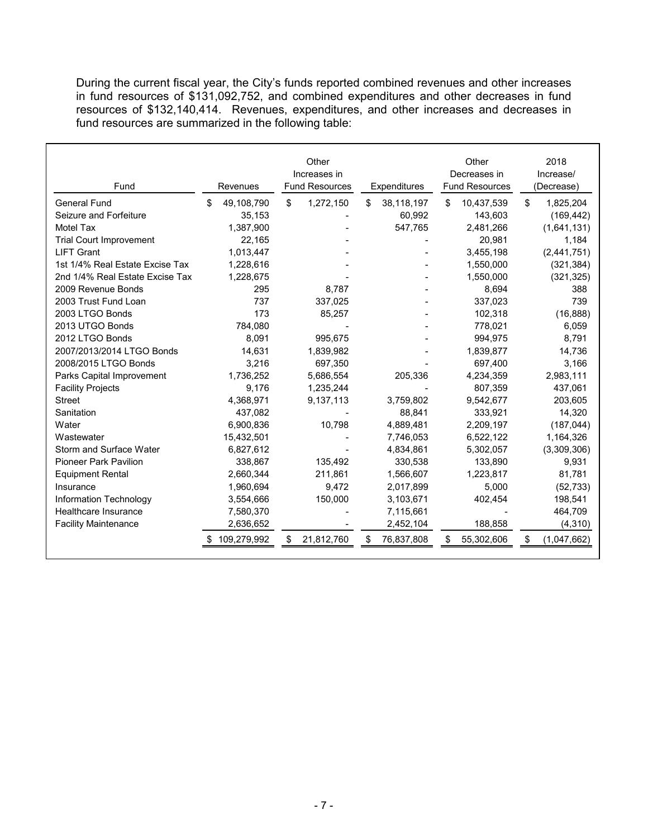During the current fiscal year, the City's funds reported combined revenues and other increases in fund resources of \$131,092,752, and combined expenditures and other decreases in fund resources of \$132,140,414. Revenues, expenditures, and other increases and decreases in fund resources are summarized in the following table:

| Fund                            | Revenues          | Other<br>Increases in<br><b>Fund Resources</b> | Expenditures     | Other<br>Decreases in<br><b>Fund Resources</b> | 2018<br>Increase/<br>(Decrease) |
|---------------------------------|-------------------|------------------------------------------------|------------------|------------------------------------------------|---------------------------------|
| <b>General Fund</b>             | 49,108,790<br>\$. | \$<br>1,272,150                                | 38,118,197<br>\$ | 10,437,539<br>\$                               | 1,825,204<br>\$.                |
| Seizure and Forfeiture          | 35,153            |                                                | 60,992           | 143,603                                        | (169, 442)                      |
| <b>Motel Tax</b>                | 1,387,900         |                                                | 547,765          | 2,481,266                                      | (1,641,131)                     |
| <b>Trial Court Improvement</b>  | 22,165            |                                                |                  | 20,981                                         | 1,184                           |
| <b>LIFT Grant</b>               | 1,013,447         |                                                |                  | 3,455,198                                      | (2,441,751)                     |
| 1st 1/4% Real Estate Excise Tax | 1,228,616         |                                                |                  | 1,550,000                                      | (321, 384)                      |
| 2nd 1/4% Real Estate Excise Tax | 1,228,675         |                                                |                  | 1,550,000                                      | (321, 325)                      |
| 2009 Revenue Bonds              | 295               | 8.787                                          |                  | 8,694                                          | 388                             |
| 2003 Trust Fund Loan            | 737               | 337,025                                        |                  | 337,023                                        | 739                             |
| 2003 LTGO Bonds                 | 173               | 85,257                                         |                  | 102,318                                        | (16, 888)                       |
| 2013 UTGO Bonds                 | 784.080           |                                                |                  | 778,021                                        | 6,059                           |
| 2012 LTGO Bonds                 | 8,091             | 995,675                                        |                  | 994,975                                        | 8,791                           |
| 2007/2013/2014 LTGO Bonds       | 14,631            | 1,839,982                                      |                  | 1,839,877                                      | 14,736                          |
| 2008/2015 LTGO Bonds            | 3,216             | 697,350                                        |                  | 697,400                                        | 3,166                           |
| Parks Capital Improvement       | 1,736,252         | 5,686,554                                      | 205,336          | 4,234,359                                      | 2,983,111                       |
| <b>Facility Projects</b>        | 9,176             | 1,235,244                                      |                  | 807,359                                        | 437,061                         |
| <b>Street</b>                   | 4,368,971         | 9,137,113                                      | 3,759,802        | 9,542,677                                      | 203,605                         |
| Sanitation                      | 437,082           |                                                | 88,841           | 333,921                                        | 14,320                          |
| Water                           | 6,900,836         | 10,798                                         | 4,889,481        | 2,209,197                                      | (187, 044)                      |
| Wastewater                      | 15,432,501        |                                                | 7,746,053        | 6,522,122                                      | 1,164,326                       |
| Storm and Surface Water         | 6,827,612         |                                                | 4,834,861        | 5,302,057                                      | (3,309,306)                     |
| <b>Pioneer Park Pavilion</b>    | 338,867           | 135,492                                        | 330,538          | 133,890                                        | 9,931                           |
| <b>Equipment Rental</b>         | 2,660,344         | 211,861                                        | 1,566,607        | 1,223,817                                      | 81,781                          |
| Insurance                       | 1,960,694         | 9,472                                          | 2,017,899        | 5,000                                          | (52, 733)                       |
| Information Technology          | 3,554,666         | 150,000                                        | 3,103,671        | 402,454                                        | 198,541                         |
| Healthcare Insurance            | 7,580,370         |                                                | 7,115,661        |                                                | 464,709                         |
| <b>Facility Maintenance</b>     | 2,636,652         |                                                | 2,452,104        | 188,858                                        | (4, 310)                        |
|                                 | 109,279,992       | 21,812,760<br>\$                               | \$<br>76,837,808 | \$<br>55,302,606                               | (1,047,662)<br>\$               |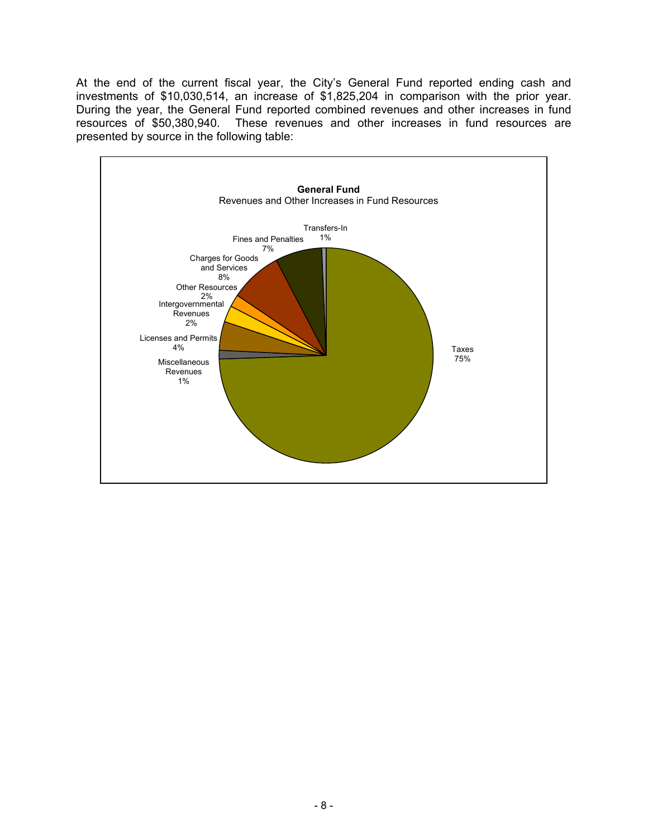At the end of the current fiscal year, the City's General Fund reported ending cash and investments of \$10,030,514, an increase of \$1,825,204 in comparison with the prior year. During the year, the General Fund reported combined revenues and other increases in fund resources of \$50,380,940. These revenues and other increases in fund resources are presented by source in the following table:

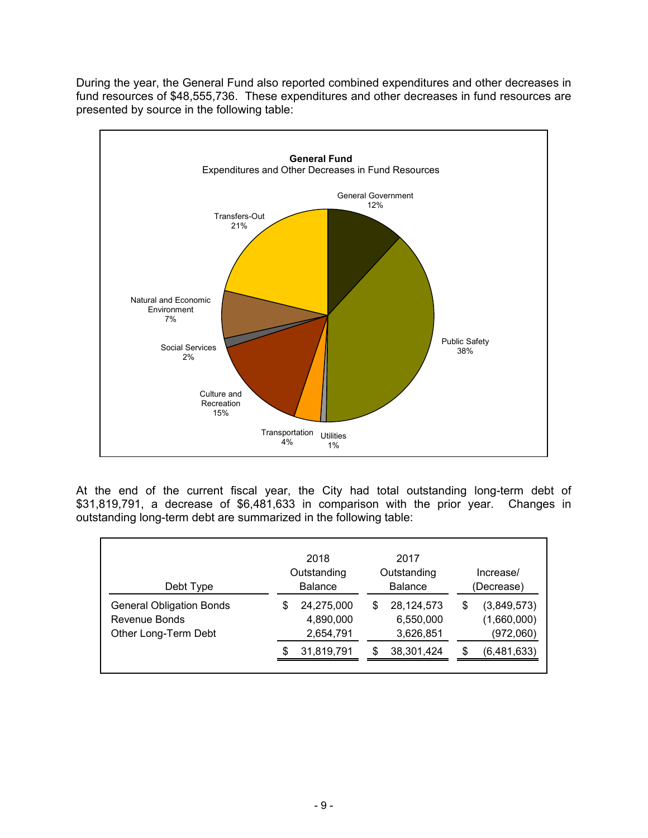During the year, the General Fund also reported combined expenditures and other decreases in fund resources of \$48,555,736. These expenditures and other decreases in fund resources are presented by source in the following table:



At the end of the current fiscal year, the City had total outstanding long-term debt of \$31,819,791, a decrease of \$6,481,633 in comparison with the prior year. Changes in outstanding long-term debt are summarized in the following table:

| Debt Type                                                                |    | 2018<br>Outstanding<br><b>Balance</b> |    | 2017<br>Outstanding<br><b>Balance</b> | Increase/<br>(Decrease)                       |
|--------------------------------------------------------------------------|----|---------------------------------------|----|---------------------------------------|-----------------------------------------------|
| <b>General Obligation Bonds</b><br>Revenue Bonds<br>Other Long-Term Debt | \$ | 24,275,000<br>4,890,000<br>2,654,791  | \$ | 28,124,573<br>6,550,000<br>3,626,851  | \$<br>(3,849,573)<br>(1,660,000)<br>(972,060) |
|                                                                          | S  | 31,819,791                            | S  | 38,301,424                            | \$<br>(6,481,633)                             |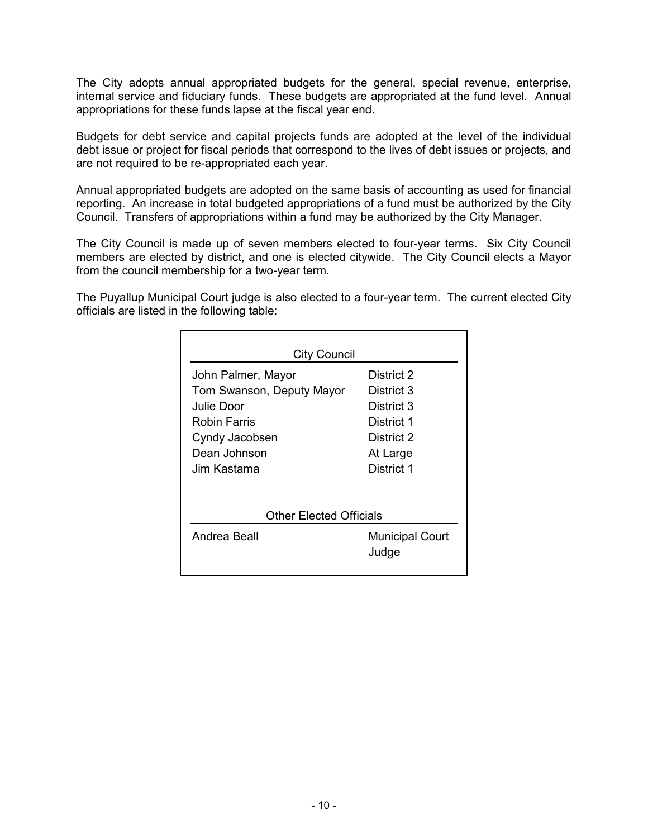The City adopts annual appropriated budgets for the general, special revenue, enterprise, internal service and fiduciary funds. These budgets are appropriated at the fund level. Annual appropriations for these funds lapse at the fiscal year end.

Budgets for debt service and capital projects funds are adopted at the level of the individual debt issue or project for fiscal periods that correspond to the lives of debt issues or projects, and are not required to be re-appropriated each year.

Annual appropriated budgets are adopted on the same basis of accounting as used for financial reporting. An increase in total budgeted appropriations of a fund must be authorized by the City Council. Transfers of appropriations within a fund may be authorized by the City Manager.

The City Council is made up of seven members elected to four-year terms. Six City Council members are elected by district, and one is elected citywide. The City Council elects a Mayor from the council membership for a two-year term.

The Puyallup Municipal Court judge is also elected to a four-year term. The current elected City officials are listed in the following table:

| <b>City Council</b>       |                                 |  |  |  |
|---------------------------|---------------------------------|--|--|--|
| John Palmer, Mayor        | District 2                      |  |  |  |
| Tom Swanson, Deputy Mayor | District 3                      |  |  |  |
| Julie Door                | District 3                      |  |  |  |
| <b>Robin Farris</b>       | District 1                      |  |  |  |
| Cyndy Jacobsen            | District 2                      |  |  |  |
| Dean Johnson              | At Large                        |  |  |  |
| Jim Kastama               | District 1                      |  |  |  |
| Other Elected Officials   |                                 |  |  |  |
| Andrea Beall              | <b>Municipal Court</b><br>Judge |  |  |  |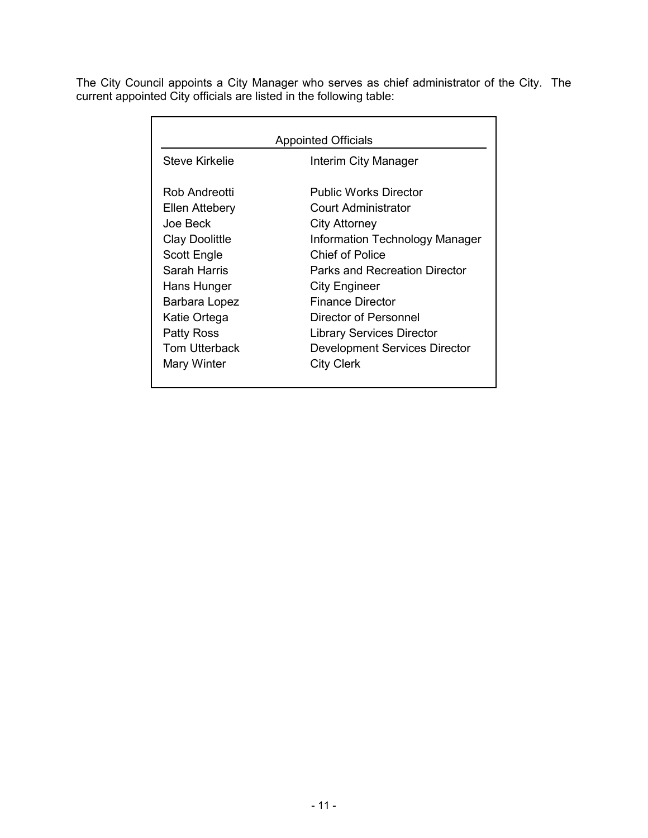The City Council appoints a City Manager who serves as chief administrator of the City. The current appointed City officials are listed in the following table:

| <b>Appointed Officials</b> |                                      |  |  |  |  |
|----------------------------|--------------------------------------|--|--|--|--|
| Steve Kirkelie             | Interim City Manager                 |  |  |  |  |
| Rob Andreotti              | <b>Public Works Director</b>         |  |  |  |  |
| Ellen Attebery             | Court Administrator                  |  |  |  |  |
| Joe Beck                   | City Attorney                        |  |  |  |  |
| <b>Clay Doolittle</b>      | Information Technology Manager       |  |  |  |  |
| Scott Engle                | Chief of Police                      |  |  |  |  |
| Sarah Harris               | <b>Parks and Recreation Director</b> |  |  |  |  |
| Hans Hunger                | City Engineer                        |  |  |  |  |
| Barbara Lopez              | <b>Finance Director</b>              |  |  |  |  |
| Katie Ortega               | Director of Personnel                |  |  |  |  |
| Patty Ross                 | <b>Library Services Director</b>     |  |  |  |  |
| <b>Tom Utterback</b>       | <b>Development Services Director</b> |  |  |  |  |
| Mary Winter                | <b>City Clerk</b>                    |  |  |  |  |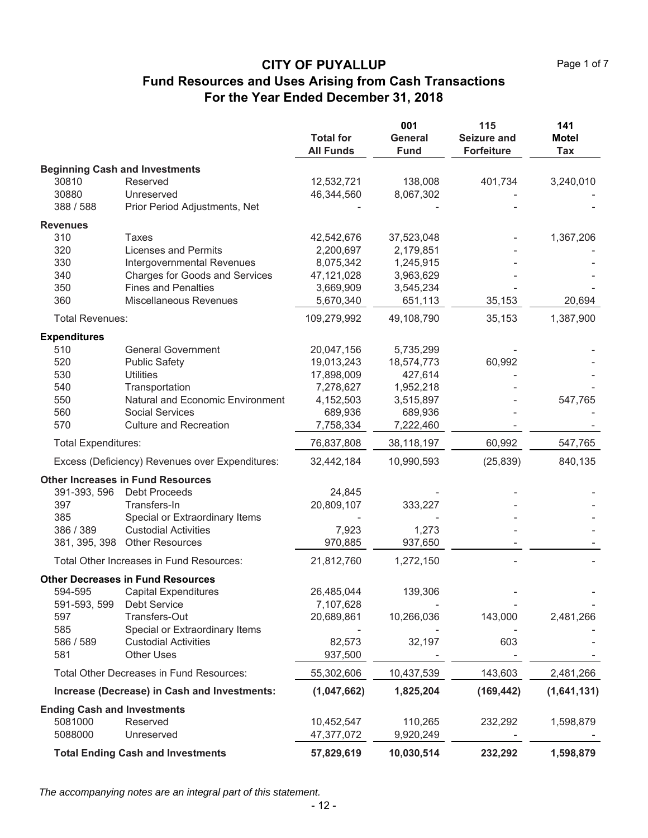|                                    |                                                 | <b>Total for</b><br><b>All Funds</b> | 001<br>General<br><b>Fund</b> | 115<br><b>Seizure and</b><br><b>Forfeiture</b> | 141<br><b>Motel</b><br>Tax |
|------------------------------------|-------------------------------------------------|--------------------------------------|-------------------------------|------------------------------------------------|----------------------------|
|                                    | <b>Beginning Cash and Investments</b>           |                                      |                               |                                                |                            |
| 30810                              | Reserved                                        | 12,532,721                           | 138,008                       | 401,734                                        | 3,240,010                  |
| 30880                              | Unreserved                                      | 46,344,560                           | 8,067,302                     |                                                |                            |
| 388 / 588                          | Prior Period Adjustments, Net                   |                                      |                               |                                                |                            |
| <b>Revenues</b>                    |                                                 |                                      |                               |                                                |                            |
| 310                                | <b>Taxes</b>                                    | 42,542,676                           | 37,523,048                    |                                                | 1,367,206                  |
| 320                                | <b>Licenses and Permits</b>                     | 2,200,697                            | 2,179,851                     |                                                |                            |
| 330                                | Intergovernmental Revenues                      | 8,075,342                            | 1,245,915                     |                                                |                            |
| 340                                | <b>Charges for Goods and Services</b>           | 47,121,028                           | 3,963,629                     |                                                |                            |
| 350                                | <b>Fines and Penalties</b>                      | 3,669,909                            | 3,545,234                     |                                                |                            |
| 360                                | Miscellaneous Revenues                          | 5,670,340                            | 651,113                       | 35,153                                         | 20,694                     |
| <b>Total Revenues:</b>             |                                                 | 109,279,992                          | 49,108,790                    | 35,153                                         | 1,387,900                  |
| <b>Expenditures</b>                |                                                 |                                      |                               |                                                |                            |
| 510                                | <b>General Government</b>                       | 20,047,156                           | 5,735,299                     |                                                |                            |
| 520                                | <b>Public Safety</b>                            | 19,013,243                           | 18,574,773                    | 60,992                                         |                            |
| 530                                | <b>Utilities</b>                                | 17,898,009                           | 427,614                       |                                                |                            |
| 540                                | Transportation                                  | 7,278,627                            | 1,952,218                     |                                                |                            |
| 550                                | Natural and Economic Environment                | 4,152,503                            | 3,515,897                     |                                                | 547,765                    |
| 560                                | <b>Social Services</b>                          | 689,936                              | 689,936                       |                                                |                            |
| 570                                | <b>Culture and Recreation</b>                   | 7,758,334                            | 7,222,460                     |                                                |                            |
| <b>Total Expenditures:</b>         |                                                 | 76,837,808                           | 38,118,197                    | 60,992                                         | 547,765                    |
|                                    | Excess (Deficiency) Revenues over Expenditures: | 32,442,184                           | 10,990,593                    | (25, 839)                                      | 840,135                    |
|                                    | <b>Other Increases in Fund Resources</b>        |                                      |                               |                                                |                            |
| 391-393, 596                       | <b>Debt Proceeds</b>                            | 24,845                               |                               |                                                |                            |
| 397                                | Transfers-In                                    | 20,809,107                           | 333,227                       |                                                |                            |
| 385                                | Special or Extraordinary Items                  |                                      |                               |                                                |                            |
| 386 / 389                          | <b>Custodial Activities</b>                     | 7,923                                | 1,273                         |                                                |                            |
| 381, 395, 398                      | <b>Other Resources</b>                          | 970,885                              | 937,650                       |                                                |                            |
|                                    | Total Other Increases in Fund Resources:        | 21,812,760                           | 1,272,150                     |                                                |                            |
|                                    | <b>Other Decreases in Fund Resources</b>        |                                      |                               |                                                |                            |
| 594-595                            | <b>Capital Expenditures</b>                     | 26,485,044                           | 139,306                       |                                                |                            |
| 591-593, 599                       | <b>Debt Service</b>                             | 7,107,628                            |                               |                                                |                            |
| 597                                | Transfers-Out                                   | 20,689,861                           | 10,266,036                    | 143,000                                        | 2,481,266                  |
| 585                                | Special or Extraordinary Items                  |                                      |                               |                                                |                            |
| 586 / 589                          | <b>Custodial Activities</b>                     | 82,573                               | 32,197                        | 603                                            |                            |
| 581                                | <b>Other Uses</b>                               | 937,500                              |                               |                                                |                            |
|                                    | Total Other Decreases in Fund Resources:        | 55,302,606                           | 10,437,539                    | 143,603                                        | 2,481,266                  |
|                                    | Increase (Decrease) in Cash and Investments:    | (1,047,662)                          | 1,825,204                     | (169, 442)                                     | (1,641,131)                |
| <b>Ending Cash and Investments</b> |                                                 |                                      |                               |                                                |                            |
| 5081000                            | Reserved                                        | 10,452,547                           | 110,265                       | 232,292                                        | 1,598,879                  |
| 5088000                            | Unreserved                                      | 47,377,072                           | 9,920,249                     |                                                |                            |
|                                    | <b>Total Ending Cash and Investments</b>        | 57,829,619                           | 10,030,514                    | 232,292                                        | 1,598,879                  |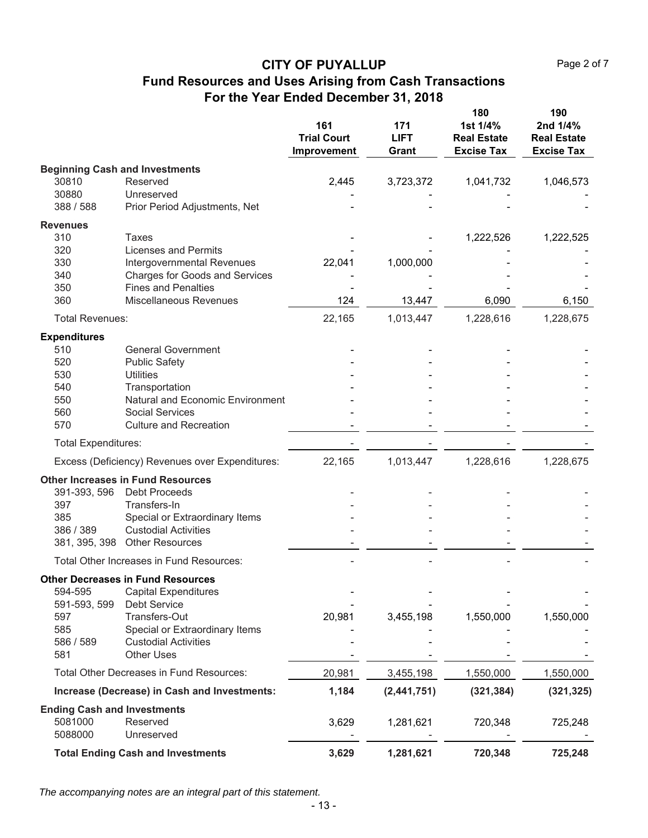|                                    |                                                 | 161<br><b>Trial Court</b><br>Improvement | 171<br><b>LIFT</b><br>Grant | 180<br>1st 1/4%<br><b>Real Estate</b><br><b>Excise Tax</b> | 190<br>2nd 1/4%<br><b>Real Estate</b><br><b>Excise Tax</b> |
|------------------------------------|-------------------------------------------------|------------------------------------------|-----------------------------|------------------------------------------------------------|------------------------------------------------------------|
|                                    | <b>Beginning Cash and Investments</b>           |                                          |                             |                                                            |                                                            |
| 30810                              | Reserved                                        | 2,445                                    | 3,723,372                   | 1,041,732                                                  | 1,046,573                                                  |
| 30880                              | Unreserved                                      |                                          |                             |                                                            |                                                            |
| 388 / 588                          | Prior Period Adjustments, Net                   |                                          |                             |                                                            |                                                            |
| <b>Revenues</b>                    |                                                 |                                          |                             |                                                            |                                                            |
| 310                                | Taxes                                           |                                          |                             | 1,222,526                                                  | 1,222,525                                                  |
| 320                                | <b>Licenses and Permits</b>                     |                                          |                             |                                                            |                                                            |
| 330                                | Intergovernmental Revenues                      | 22,041                                   | 1,000,000                   |                                                            |                                                            |
| 340                                | <b>Charges for Goods and Services</b>           |                                          |                             |                                                            |                                                            |
| 350                                | <b>Fines and Penalties</b>                      |                                          |                             |                                                            |                                                            |
| 360                                | Miscellaneous Revenues                          | 124                                      | 13,447                      | 6,090                                                      | 6,150                                                      |
| <b>Total Revenues:</b>             |                                                 | 22,165                                   | 1,013,447                   | 1,228,616                                                  | 1,228,675                                                  |
| <b>Expenditures</b>                |                                                 |                                          |                             |                                                            |                                                            |
| 510                                | <b>General Government</b>                       |                                          |                             |                                                            |                                                            |
| 520                                | <b>Public Safety</b>                            |                                          |                             |                                                            |                                                            |
| 530                                | <b>Utilities</b>                                |                                          |                             |                                                            |                                                            |
| 540                                | Transportation                                  |                                          |                             |                                                            |                                                            |
| 550                                | Natural and Economic Environment                |                                          |                             |                                                            |                                                            |
| 560                                | <b>Social Services</b>                          |                                          |                             |                                                            |                                                            |
| 570                                | <b>Culture and Recreation</b>                   |                                          |                             |                                                            |                                                            |
| <b>Total Expenditures:</b>         |                                                 |                                          |                             |                                                            |                                                            |
|                                    | Excess (Deficiency) Revenues over Expenditures: | 22,165                                   | 1,013,447                   | 1,228,616                                                  | 1,228,675                                                  |
|                                    | <b>Other Increases in Fund Resources</b>        |                                          |                             |                                                            |                                                            |
| 391-393, 596                       | <b>Debt Proceeds</b>                            |                                          |                             |                                                            |                                                            |
| 397                                | Transfers-In                                    |                                          |                             |                                                            |                                                            |
| 385                                | Special or Extraordinary Items                  |                                          |                             |                                                            |                                                            |
| 386 / 389                          | <b>Custodial Activities</b>                     |                                          |                             |                                                            |                                                            |
|                                    | 381, 395, 398 Other Resources                   |                                          |                             |                                                            |                                                            |
|                                    | Total Other Increases in Fund Resources:        |                                          |                             |                                                            |                                                            |
|                                    | <b>Other Decreases in Fund Resources</b>        |                                          |                             |                                                            |                                                            |
| 594-595                            | <b>Capital Expenditures</b>                     |                                          |                             |                                                            |                                                            |
| 591-593, 599                       | Debt Service                                    |                                          |                             |                                                            |                                                            |
| 597                                | Transfers-Out                                   | 20,981                                   | 3,455,198                   | 1,550,000                                                  | 1,550,000                                                  |
| 585                                | Special or Extraordinary Items                  |                                          |                             |                                                            |                                                            |
| 586 / 589                          | <b>Custodial Activities</b>                     |                                          |                             |                                                            |                                                            |
| 581                                | <b>Other Uses</b>                               |                                          |                             |                                                            |                                                            |
|                                    | Total Other Decreases in Fund Resources:        | 20,981                                   | 3,455,198                   | 1,550,000                                                  | 1,550,000                                                  |
|                                    | Increase (Decrease) in Cash and Investments:    | 1,184                                    | (2,441,751)                 | (321, 384)                                                 | (321, 325)                                                 |
| <b>Ending Cash and Investments</b> |                                                 |                                          |                             |                                                            |                                                            |
| 5081000                            | Reserved                                        | 3,629                                    | 1,281,621                   | 720,348                                                    | 725,248                                                    |
| 5088000                            | Unreserved                                      |                                          |                             |                                                            |                                                            |
|                                    | <b>Total Ending Cash and Investments</b>        | 3,629                                    | 1,281,621                   | 720,348                                                    | 725,248                                                    |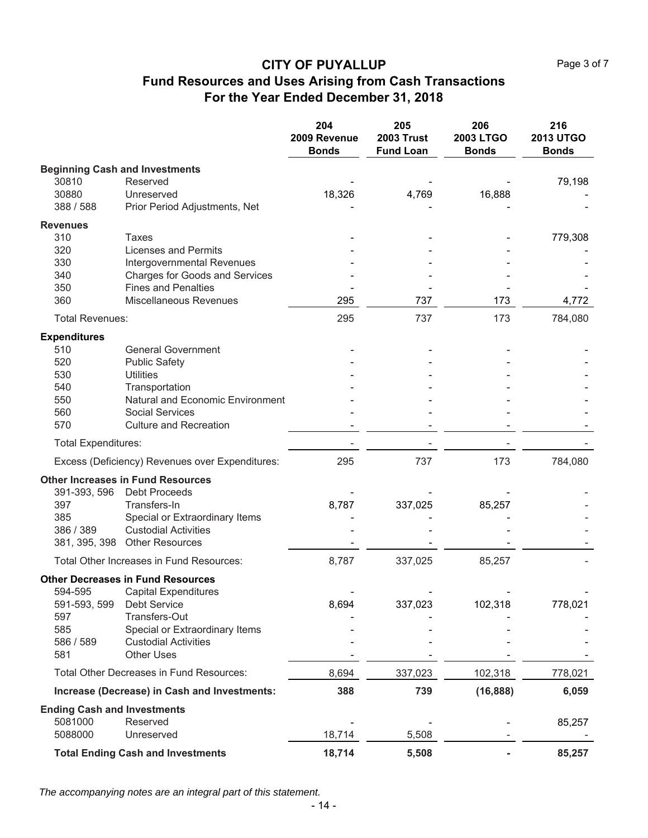Page 3 of 7

# **CITY OF PUYALLUP Fund Resources and Uses Arising from Cash Transactions For the Year Ended December 31, 2018**

|                                    |                                                 | 204<br>2009 Revenue<br><b>Bonds</b> | 205<br><b>2003 Trust</b><br><b>Fund Loan</b> | 206<br>2003 LTGO<br><b>Bonds</b> | 216<br><b>2013 UTGO</b><br><b>Bonds</b> |
|------------------------------------|-------------------------------------------------|-------------------------------------|----------------------------------------------|----------------------------------|-----------------------------------------|
|                                    | <b>Beginning Cash and Investments</b>           |                                     |                                              |                                  |                                         |
| 30810                              | Reserved                                        |                                     |                                              |                                  | 79,198                                  |
| 30880                              | Unreserved                                      | 18,326                              | 4,769                                        | 16,888                           |                                         |
| 388 / 588                          | Prior Period Adjustments, Net                   |                                     |                                              |                                  |                                         |
| <b>Revenues</b>                    |                                                 |                                     |                                              |                                  |                                         |
| 310                                | <b>Taxes</b>                                    |                                     |                                              |                                  | 779,308                                 |
| 320                                | <b>Licenses and Permits</b>                     |                                     |                                              |                                  |                                         |
| 330                                | Intergovernmental Revenues                      |                                     |                                              |                                  |                                         |
| 340                                | Charges for Goods and Services                  |                                     |                                              |                                  |                                         |
| 350                                | <b>Fines and Penalties</b>                      |                                     |                                              |                                  |                                         |
| 360                                | <b>Miscellaneous Revenues</b>                   | 295                                 | 737                                          | 173                              | 4,772                                   |
| <b>Total Revenues:</b>             |                                                 | 295                                 | 737                                          | 173                              | 784,080                                 |
| <b>Expenditures</b>                |                                                 |                                     |                                              |                                  |                                         |
| 510                                | <b>General Government</b>                       |                                     |                                              |                                  |                                         |
| 520                                | <b>Public Safety</b>                            |                                     |                                              |                                  |                                         |
| 530                                | <b>Utilities</b>                                |                                     |                                              |                                  |                                         |
| 540                                | Transportation                                  |                                     |                                              |                                  |                                         |
| 550                                | Natural and Economic Environment                |                                     |                                              |                                  |                                         |
| 560                                | <b>Social Services</b>                          |                                     |                                              |                                  |                                         |
| 570                                | <b>Culture and Recreation</b>                   |                                     |                                              |                                  |                                         |
| <b>Total Expenditures:</b>         |                                                 |                                     |                                              |                                  |                                         |
|                                    | Excess (Deficiency) Revenues over Expenditures: | 295                                 | 737                                          | 173                              | 784,080                                 |
|                                    | <b>Other Increases in Fund Resources</b>        |                                     |                                              |                                  |                                         |
| 391-393, 596                       | <b>Debt Proceeds</b>                            |                                     |                                              |                                  |                                         |
| 397                                | Transfers-In                                    | 8,787                               | 337,025                                      | 85,257                           |                                         |
| 385                                | Special or Extraordinary Items                  |                                     |                                              |                                  |                                         |
| 386 / 389                          | <b>Custodial Activities</b>                     |                                     |                                              |                                  |                                         |
|                                    | 381, 395, 398 Other Resources                   |                                     |                                              |                                  |                                         |
|                                    | Total Other Increases in Fund Resources:        | 8,787                               | 337,025                                      | 85,257                           |                                         |
|                                    | <b>Other Decreases in Fund Resources</b>        |                                     |                                              |                                  |                                         |
| 594-595                            | Capital Expenditures                            |                                     |                                              |                                  |                                         |
| 591-593, 599                       | <b>Debt Service</b>                             | 8,694                               | 337,023                                      | 102,318                          | 778,021                                 |
| 597                                | Transfers-Out                                   |                                     |                                              |                                  |                                         |
| 585                                | Special or Extraordinary Items                  |                                     |                                              |                                  |                                         |
| 586 / 589                          | <b>Custodial Activities</b>                     |                                     |                                              |                                  |                                         |
| 581                                | <b>Other Uses</b>                               |                                     |                                              |                                  |                                         |
|                                    | Total Other Decreases in Fund Resources:        | 8,694                               | 337,023                                      | 102,318                          | 778,021                                 |
|                                    | Increase (Decrease) in Cash and Investments:    | 388                                 | 739                                          | (16, 888)                        | 6,059                                   |
| <b>Ending Cash and Investments</b> |                                                 |                                     |                                              |                                  |                                         |
| 5081000                            | Reserved                                        |                                     |                                              |                                  | 85,257                                  |
| 5088000                            | Unreserved                                      | 18,714                              | 5,508                                        |                                  |                                         |
|                                    | <b>Total Ending Cash and Investments</b>        | 18,714                              | 5,508                                        |                                  | 85,257                                  |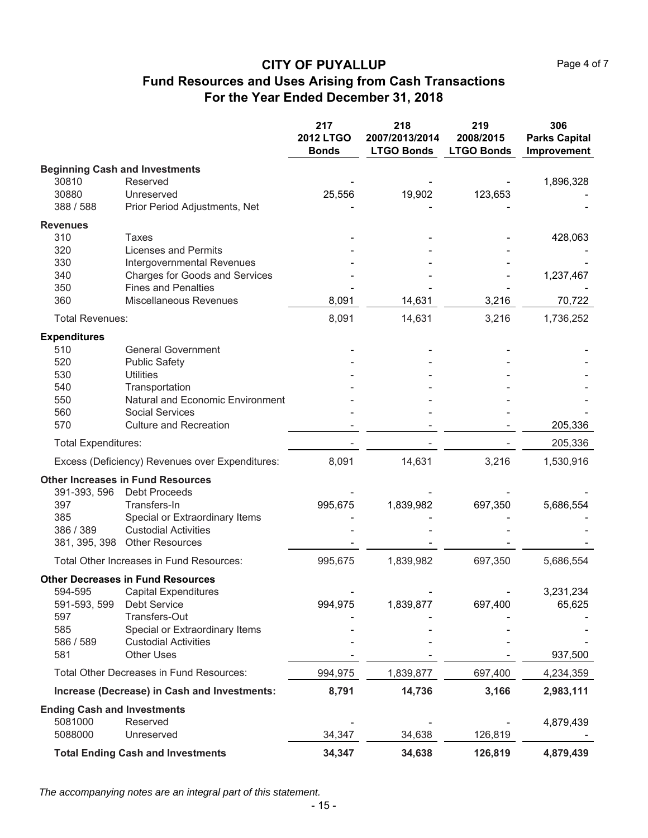Page 4 of 7

# **CITY OF PUYALLUP Fund Resources and Uses Arising from Cash Transactions For the Year Ended December 31, 2018**

|                                          |                                                               | 217<br><b>2012 LTGO</b><br><b>Bonds</b> | 218<br>2007/2013/2014<br><b>LTGO Bonds</b> | 219<br>2008/2015<br><b>LTGO Bonds</b> | 306<br><b>Parks Capital</b><br>Improvement |
|------------------------------------------|---------------------------------------------------------------|-----------------------------------------|--------------------------------------------|---------------------------------------|--------------------------------------------|
| <b>Beginning Cash and Investments</b>    |                                                               |                                         |                                            |                                       |                                            |
| 30810                                    | Reserved                                                      |                                         |                                            |                                       | 1,896,328                                  |
| 30880                                    | Unreserved                                                    | 25,556                                  | 19,902                                     | 123,653                               |                                            |
| 388 / 588                                | Prior Period Adjustments, Net                                 |                                         |                                            |                                       |                                            |
| <b>Revenues</b>                          |                                                               |                                         |                                            |                                       |                                            |
| 310                                      | Taxes                                                         |                                         |                                            |                                       | 428,063                                    |
| 320                                      | <b>Licenses and Permits</b>                                   |                                         |                                            |                                       |                                            |
| 330                                      | Intergovernmental Revenues                                    |                                         |                                            |                                       |                                            |
| 340                                      | <b>Charges for Goods and Services</b>                         |                                         |                                            |                                       | 1,237,467                                  |
| 350                                      | <b>Fines and Penalties</b>                                    |                                         |                                            |                                       |                                            |
| 360                                      | <b>Miscellaneous Revenues</b>                                 | 8,091                                   | 14,631                                     | 3,216                                 | 70,722                                     |
| <b>Total Revenues:</b>                   |                                                               | 8,091                                   | 14,631                                     | 3,216                                 | 1,736,252                                  |
| <b>Expenditures</b>                      |                                                               |                                         |                                            |                                       |                                            |
| 510                                      | <b>General Government</b>                                     |                                         |                                            |                                       |                                            |
| 520                                      | <b>Public Safety</b>                                          |                                         |                                            |                                       |                                            |
| 530                                      | <b>Utilities</b>                                              |                                         |                                            |                                       |                                            |
| 540                                      | Transportation                                                |                                         |                                            |                                       |                                            |
| 550                                      | Natural and Economic Environment                              |                                         |                                            |                                       |                                            |
| 560<br>570                               | <b>Social Services</b><br><b>Culture and Recreation</b>       |                                         |                                            |                                       | 205,336                                    |
| <b>Total Expenditures:</b>               |                                                               |                                         |                                            |                                       | 205,336                                    |
|                                          |                                                               |                                         |                                            |                                       |                                            |
|                                          | Excess (Deficiency) Revenues over Expenditures:               | 8,091                                   | 14,631                                     | 3,216                                 | 1,530,916                                  |
| <b>Other Increases in Fund Resources</b> |                                                               |                                         |                                            |                                       |                                            |
| 391-393, 596                             | <b>Debt Proceeds</b>                                          |                                         |                                            |                                       |                                            |
| 397                                      | Transfers-In                                                  | 995,675                                 | 1,839,982                                  | 697,350                               | 5,686,554                                  |
| 385                                      | Special or Extraordinary Items<br><b>Custodial Activities</b> |                                         |                                            |                                       |                                            |
| 386 / 389<br>381, 395, 398               | <b>Other Resources</b>                                        |                                         |                                            |                                       |                                            |
|                                          |                                                               |                                         |                                            |                                       |                                            |
|                                          | Total Other Increases in Fund Resources:                      | 995,675                                 | 1,839,982                                  | 697,350                               | 5,686,554                                  |
| <b>Other Decreases in Fund Resources</b> |                                                               |                                         |                                            |                                       |                                            |
| 594-595                                  | <b>Capital Expenditures</b><br><b>Debt Service</b>            |                                         |                                            |                                       | 3,231,234                                  |
| 591-593, 599<br>597                      | Transfers-Out                                                 | 994,975                                 | 1,839,877                                  | 697,400                               | 65,625                                     |
| 585                                      | Special or Extraordinary Items                                |                                         |                                            |                                       |                                            |
| 586 / 589                                | <b>Custodial Activities</b>                                   |                                         |                                            |                                       |                                            |
| 581                                      | <b>Other Uses</b>                                             |                                         |                                            |                                       | 937,500                                    |
|                                          | Total Other Decreases in Fund Resources:                      | 994,975                                 | 1,839,877                                  | 697,400                               | 4,234,359                                  |
|                                          | Increase (Decrease) in Cash and Investments:                  | 8,791                                   | 14,736                                     | 3,166                                 | 2,983,111                                  |
| <b>Ending Cash and Investments</b>       |                                                               |                                         |                                            |                                       |                                            |
| 5081000                                  | Reserved                                                      |                                         |                                            |                                       | 4,879,439                                  |
| 5088000                                  | Unreserved                                                    | 34,347                                  | 34,638                                     | 126,819                               |                                            |
|                                          | <b>Total Ending Cash and Investments</b>                      | 34,347                                  | 34,638                                     | 126,819                               | 4,879,439                                  |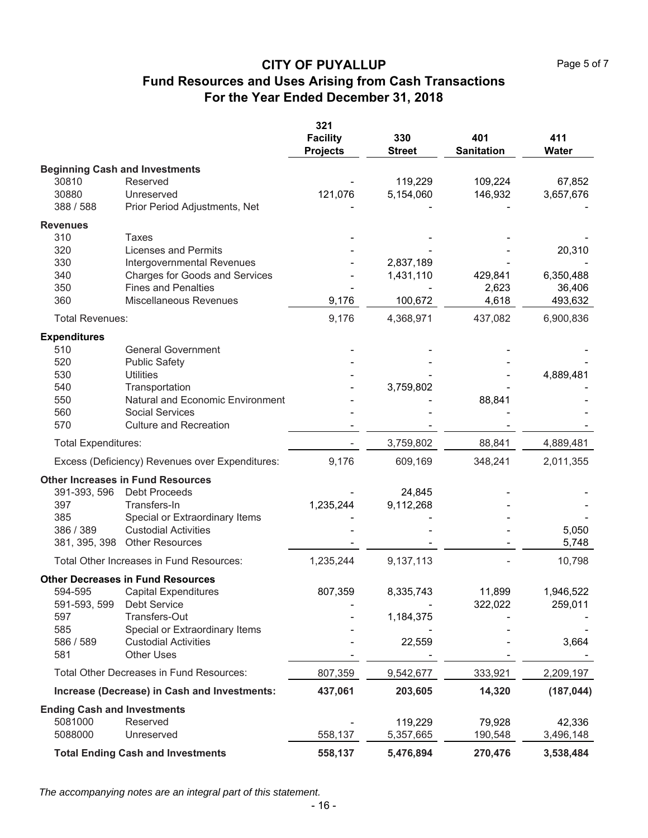|                                    |                                                 | 321                                |                      |                          |              |
|------------------------------------|-------------------------------------------------|------------------------------------|----------------------|--------------------------|--------------|
|                                    |                                                 | <b>Facility</b><br><b>Projects</b> | 330<br><b>Street</b> | 401<br><b>Sanitation</b> | 411<br>Water |
|                                    | <b>Beginning Cash and Investments</b>           |                                    |                      |                          |              |
| 30810                              | Reserved                                        |                                    | 119,229              | 109,224                  | 67,852       |
| 30880                              | Unreserved                                      | 121,076                            | 5,154,060            | 146,932                  | 3,657,676    |
| 388 / 588                          | Prior Period Adjustments, Net                   |                                    |                      |                          |              |
| <b>Revenues</b>                    |                                                 |                                    |                      |                          |              |
| 310                                | Taxes                                           |                                    |                      |                          |              |
| 320                                | <b>Licenses and Permits</b>                     |                                    |                      |                          | 20,310       |
| 330                                | Intergovernmental Revenues                      |                                    | 2,837,189            |                          |              |
| 340                                | Charges for Goods and Services                  |                                    | 1,431,110            | 429,841                  | 6,350,488    |
| 350                                | <b>Fines and Penalties</b>                      |                                    |                      | 2,623                    | 36,406       |
| 360                                | Miscellaneous Revenues                          | 9,176                              | 100,672              | 4,618                    | 493,632      |
| <b>Total Revenues:</b>             |                                                 | 9,176                              | 4,368,971            | 437,082                  | 6,900,836    |
| <b>Expenditures</b>                |                                                 |                                    |                      |                          |              |
| 510                                | <b>General Government</b>                       |                                    |                      |                          |              |
| 520                                | <b>Public Safety</b>                            |                                    |                      |                          |              |
| 530                                | <b>Utilities</b>                                |                                    |                      |                          | 4,889,481    |
| 540                                | Transportation                                  |                                    | 3,759,802            |                          |              |
| 550                                | Natural and Economic Environment                |                                    |                      | 88,841                   |              |
| 560                                | <b>Social Services</b>                          |                                    |                      |                          |              |
| 570                                | <b>Culture and Recreation</b>                   |                                    |                      |                          |              |
| <b>Total Expenditures:</b>         |                                                 |                                    | 3,759,802            | 88,841                   | 4,889,481    |
|                                    | Excess (Deficiency) Revenues over Expenditures: | 9,176                              | 609,169              | 348,241                  | 2,011,355    |
|                                    | <b>Other Increases in Fund Resources</b>        |                                    |                      |                          |              |
| 391-393, 596                       | <b>Debt Proceeds</b>                            |                                    | 24,845               |                          |              |
| 397                                | Transfers-In                                    | 1,235,244                          | 9,112,268            |                          |              |
| 385                                | Special or Extraordinary Items                  |                                    |                      |                          |              |
| 386 / 389                          | <b>Custodial Activities</b>                     |                                    |                      |                          | 5,050        |
| 381, 395, 398                      | <b>Other Resources</b>                          |                                    |                      |                          | 5,748        |
|                                    | Total Other Increases in Fund Resources:        | 1,235,244                          | 9,137,113            |                          | 10,798       |
|                                    | <b>Other Decreases in Fund Resources</b>        |                                    |                      |                          |              |
| 594-595                            | <b>Capital Expenditures</b>                     | 807,359                            | 8,335,743            | 11,899                   | 1,946,522    |
| 591-593, 599                       | Debt Service                                    |                                    |                      | 322,022                  | 259,011      |
| 597                                | Transfers-Out                                   |                                    | 1,184,375            |                          |              |
| 585                                | Special or Extraordinary Items                  |                                    |                      |                          |              |
| 586 / 589                          | <b>Custodial Activities</b>                     |                                    | 22,559               |                          | 3,664        |
| 581                                | <b>Other Uses</b>                               |                                    |                      |                          |              |
|                                    | Total Other Decreases in Fund Resources:        | 807,359                            | 9,542,677            | 333,921                  | 2,209,197    |
|                                    | Increase (Decrease) in Cash and Investments:    | 437,061                            | 203,605              | 14,320                   | (187, 044)   |
| <b>Ending Cash and Investments</b> |                                                 |                                    |                      |                          |              |
| 5081000                            | Reserved                                        |                                    | 119,229              | 79,928                   | 42,336       |
| 5088000                            | Unreserved                                      | 558,137                            | 5,357,665            | 190,548                  | 3,496,148    |
|                                    | <b>Total Ending Cash and Investments</b>        | 558,137                            | 5,476,894            | 270,476                  | 3,538,484    |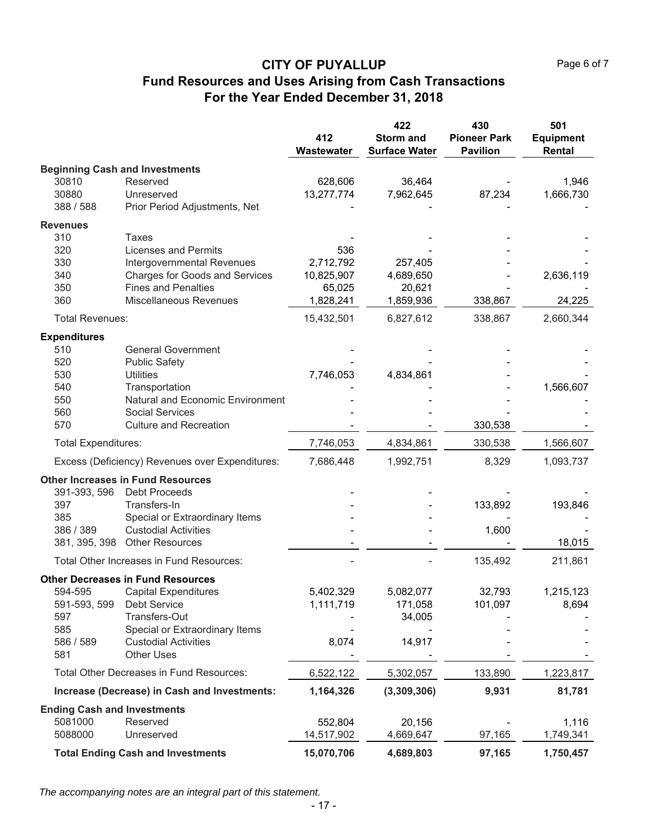|                                    |                                                 | 412<br>Wastewater | 422<br><b>Storm and</b><br><b>Surface Water</b> | 430<br><b>Pioneer Park</b><br><b>Pavilion</b> | 501<br><b>Equipment</b><br>Rental |
|------------------------------------|-------------------------------------------------|-------------------|-------------------------------------------------|-----------------------------------------------|-----------------------------------|
|                                    | <b>Beginning Cash and Investments</b>           |                   |                                                 |                                               |                                   |
| 30810                              | Reserved                                        | 628,606           | 36,464                                          |                                               | 1,946                             |
| 30880                              | Unreserved                                      | 13,277,774        | 7,962,645                                       | 87,234                                        | 1,666,730                         |
| 388 / 588                          | Prior Period Adjustments, Net                   |                   |                                                 |                                               |                                   |
| <b>Revenues</b>                    |                                                 |                   |                                                 |                                               |                                   |
| 310                                | <b>Taxes</b>                                    |                   |                                                 |                                               |                                   |
| 320                                | <b>Licenses and Permits</b>                     | 536               |                                                 |                                               |                                   |
| 330                                | Intergovernmental Revenues                      | 2,712,792         | 257,405                                         |                                               |                                   |
| 340                                | <b>Charges for Goods and Services</b>           | 10,825,907        | 4,689,650                                       |                                               | 2,636,119                         |
| 350                                | <b>Fines and Penalties</b>                      | 65,025            | 20,621                                          |                                               |                                   |
| 360                                | <b>Miscellaneous Revenues</b>                   | 1,828,241         | 1,859,936                                       | 338,867                                       | 24,225                            |
| <b>Total Revenues:</b>             |                                                 | 15,432,501        | 6,827,612                                       | 338,867                                       | 2,660,344                         |
| <b>Expenditures</b>                |                                                 |                   |                                                 |                                               |                                   |
| 510                                | <b>General Government</b>                       |                   |                                                 |                                               |                                   |
| 520                                | <b>Public Safety</b>                            |                   |                                                 |                                               |                                   |
| 530                                | <b>Utilities</b>                                | 7,746,053         | 4,834,861                                       |                                               |                                   |
| 540                                | Transportation                                  |                   |                                                 |                                               | 1,566,607                         |
| 550                                | Natural and Economic Environment                |                   |                                                 |                                               |                                   |
| 560                                | <b>Social Services</b>                          |                   |                                                 |                                               |                                   |
| 570                                | <b>Culture and Recreation</b>                   |                   |                                                 | 330,538                                       |                                   |
| <b>Total Expenditures:</b>         |                                                 | 7,746,053         | 4,834,861                                       | 330,538                                       | 1,566,607                         |
|                                    | Excess (Deficiency) Revenues over Expenditures: | 7,686,448         | 1,992,751                                       | 8,329                                         | 1,093,737                         |
|                                    | <b>Other Increases in Fund Resources</b>        |                   |                                                 |                                               |                                   |
| 391-393, 596                       | <b>Debt Proceeds</b>                            |                   |                                                 |                                               |                                   |
| 397                                | Transfers-In                                    |                   |                                                 | 133,892                                       | 193,846                           |
| 385                                | Special or Extraordinary Items                  |                   |                                                 |                                               |                                   |
| 386 / 389                          | <b>Custodial Activities</b>                     |                   |                                                 | 1,600                                         |                                   |
| 381, 395, 398                      | <b>Other Resources</b>                          |                   |                                                 |                                               | 18,015                            |
|                                    | Total Other Increases in Fund Resources:        |                   |                                                 | 135,492                                       | 211,861                           |
|                                    | <b>Other Decreases in Fund Resources</b>        |                   |                                                 |                                               |                                   |
| 594-595                            | <b>Capital Expenditures</b>                     | 5,402,329         | 5,082,077                                       | 32,793                                        | 1,215,123                         |
| 591-593, 599                       | Debt Service                                    | 1,111,719         | 171,058                                         | 101,097                                       | 8,694                             |
| 597                                | Transfers-Out                                   |                   | 34,005                                          |                                               |                                   |
| 585                                | Special or Extraordinary Items                  |                   |                                                 |                                               |                                   |
| 586 / 589                          | <b>Custodial Activities</b>                     | 8,074             | 14,917                                          |                                               |                                   |
| 581                                | <b>Other Uses</b>                               |                   |                                                 |                                               |                                   |
|                                    | <b>Total Other Decreases in Fund Resources:</b> | 6,522,122         | 5,302,057                                       | 133,890                                       | 1,223,817                         |
|                                    | Increase (Decrease) in Cash and Investments:    | 1,164,326         | (3,309,306)                                     | 9,931                                         | 81,781                            |
| <b>Ending Cash and Investments</b> |                                                 |                   |                                                 |                                               |                                   |
| 5081000                            | Reserved                                        | 552,804           | 20,156                                          |                                               | 1,116                             |
| 5088000                            | Unreserved                                      | 14,517,902        | 4,669,647                                       | 97,165                                        | 1,749,341                         |
|                                    | <b>Total Ending Cash and Investments</b>        | 15,070,706        | 4,689,803                                       | 97,165                                        | 1,750,457                         |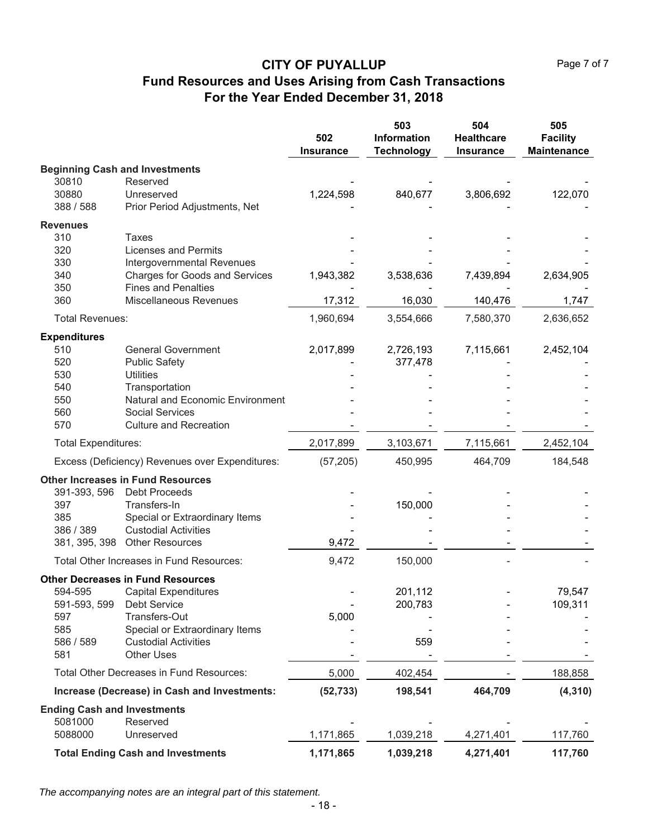|                                    |                                                         | 502<br><b>Insurance</b> | 503<br>Information<br><b>Technology</b> | 504<br><b>Healthcare</b><br><b>Insurance</b> | 505<br><b>Facility</b><br><b>Maintenance</b> |
|------------------------------------|---------------------------------------------------------|-------------------------|-----------------------------------------|----------------------------------------------|----------------------------------------------|
|                                    | <b>Beginning Cash and Investments</b>                   |                         |                                         |                                              |                                              |
| 30810                              | Reserved                                                |                         |                                         |                                              |                                              |
| 30880                              | Unreserved                                              | 1,224,598               | 840,677                                 | 3,806,692                                    | 122,070                                      |
| 388 / 588                          | Prior Period Adjustments, Net                           |                         |                                         |                                              |                                              |
| <b>Revenues</b>                    |                                                         |                         |                                         |                                              |                                              |
| 310                                | Taxes                                                   |                         |                                         |                                              |                                              |
| 320                                | <b>Licenses and Permits</b>                             |                         |                                         |                                              |                                              |
| 330                                | Intergovernmental Revenues                              |                         |                                         |                                              |                                              |
| 340                                | <b>Charges for Goods and Services</b>                   | 1,943,382               | 3,538,636                               | 7,439,894                                    | 2,634,905                                    |
| 350                                | <b>Fines and Penalties</b>                              |                         |                                         |                                              |                                              |
| 360                                | Miscellaneous Revenues                                  | 17,312                  | 16,030                                  | 140,476                                      | 1,747                                        |
| <b>Total Revenues:</b>             |                                                         | 1,960,694               | 3,554,666                               | 7,580,370                                    | 2,636,652                                    |
| <b>Expenditures</b>                |                                                         |                         |                                         |                                              |                                              |
| 510                                | <b>General Government</b>                               | 2,017,899               | 2,726,193                               | 7,115,661                                    | 2,452,104                                    |
| 520                                | <b>Public Safety</b>                                    |                         | 377,478                                 |                                              |                                              |
| 530                                | <b>Utilities</b>                                        |                         |                                         |                                              |                                              |
| 540                                | Transportation                                          |                         |                                         |                                              |                                              |
| 550                                | <b>Natural and Economic Environment</b>                 |                         |                                         |                                              |                                              |
| 560<br>570                         | <b>Social Services</b><br><b>Culture and Recreation</b> |                         |                                         |                                              |                                              |
|                                    |                                                         |                         |                                         |                                              |                                              |
| <b>Total Expenditures:</b>         |                                                         | 2,017,899               | 3,103,671                               | 7,115,661                                    | 2,452,104                                    |
|                                    | Excess (Deficiency) Revenues over Expenditures:         | (57, 205)               | 450,995                                 | 464,709                                      | 184,548                                      |
|                                    | <b>Other Increases in Fund Resources</b>                |                         |                                         |                                              |                                              |
| 391-393, 596                       | <b>Debt Proceeds</b>                                    |                         |                                         |                                              |                                              |
| 397                                | Transfers-In                                            |                         | 150,000                                 |                                              |                                              |
| 385                                | Special or Extraordinary Items                          |                         |                                         |                                              |                                              |
| 386 / 389                          | <b>Custodial Activities</b>                             |                         |                                         |                                              |                                              |
|                                    | 381, 395, 398 Other Resources                           | 9,472                   |                                         |                                              |                                              |
|                                    | Total Other Increases in Fund Resources:                | 9,472                   | 150,000                                 |                                              |                                              |
|                                    | <b>Other Decreases in Fund Resources</b>                |                         |                                         |                                              |                                              |
| 594-595                            | <b>Capital Expenditures</b>                             |                         | 201,112                                 |                                              | 79,547                                       |
| 591-593, 599                       | <b>Debt Service</b>                                     |                         | 200,783                                 |                                              | 109,311                                      |
| 597                                | Transfers-Out                                           | 5,000                   |                                         |                                              |                                              |
| 585                                | Special or Extraordinary Items                          |                         |                                         |                                              |                                              |
| 586 / 589<br>581                   | <b>Custodial Activities</b><br><b>Other Uses</b>        |                         | 559                                     |                                              |                                              |
|                                    | Total Other Decreases in Fund Resources:                | 5,000                   | 402,454                                 |                                              | 188,858                                      |
|                                    |                                                         |                         |                                         |                                              |                                              |
|                                    | Increase (Decrease) in Cash and Investments:            | (52, 733)               | 198,541                                 | 464,709                                      | (4, 310)                                     |
| <b>Ending Cash and Investments</b> |                                                         |                         |                                         |                                              |                                              |
| 5081000<br>5088000                 | Reserved<br>Unreserved                                  | 1,171,865               | 1,039,218                               | 4,271,401                                    | 117,760                                      |
|                                    |                                                         |                         |                                         |                                              |                                              |
|                                    | <b>Total Ending Cash and Investments</b>                | 1,171,865               | 1,039,218                               | 4,271,401                                    | 117,760                                      |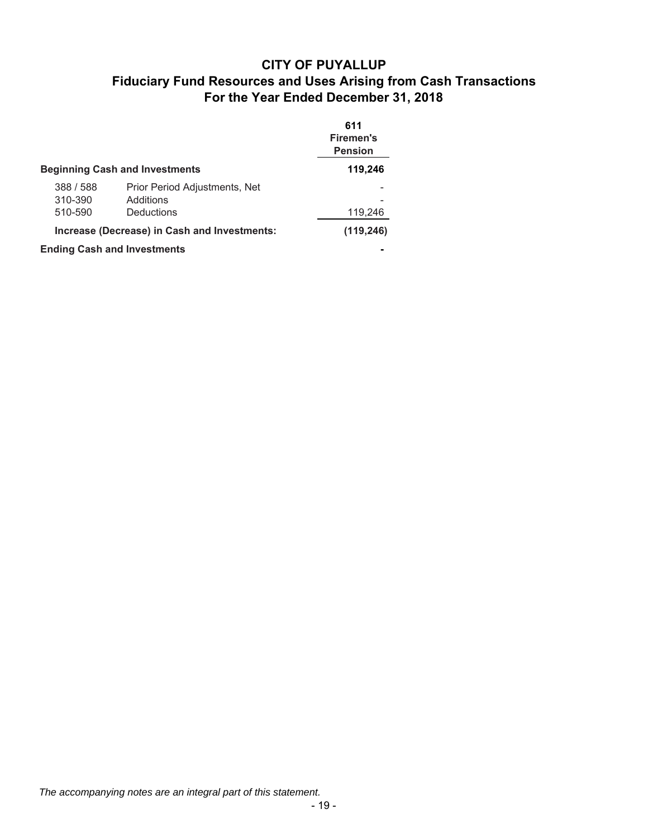|           |                                              | 611<br><b>Firemen's</b><br><b>Pension</b> |
|-----------|----------------------------------------------|-------------------------------------------|
|           | <b>Beginning Cash and Investments</b>        | 119,246                                   |
| 388 / 588 | Prior Period Adjustments, Net                |                                           |
| 310-390   | Additions                                    |                                           |
| 510-590   | Deductions                                   | 119,246                                   |
|           | Increase (Decrease) in Cash and Investments: | (119, 246)                                |
|           | <b>Ending Cash and Investments</b>           |                                           |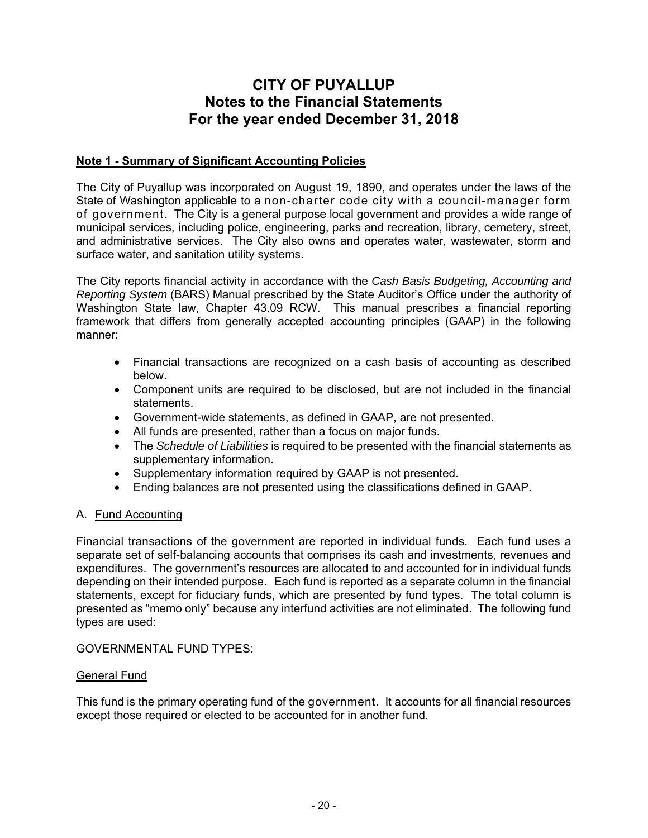# **CITY OF PUYALLUP Notes to the Financial Statements For the year ended December 31, 2018**

#### **Note 1 - Summary of Significant Accounting Policies**

The City of Puyallup was incorporated on August 19, 1890, and operates under the laws of the State of Washington applicable to a non-charter code city with a council-manager form of government. The City is a general purpose local government and provides a wide range of municipal services, including police, engineering, parks and recreation, library, cemetery, street, and administrative services. The City also owns and operates water, wastewater, storm and surface water, and sanitation utility systems.

The City reports financial activity in accordance with the *Cash Basis Budgeting, Accounting and Reporting System* (BARS) Manual prescribed by the State Auditor's Office under the authority of Washington State law, Chapter 43.09 RCW. This manual prescribes a financial reporting framework that differs from generally accepted accounting principles (GAAP) in the following manner:

- Financial transactions are recognized on a cash basis of accounting as described below.
- Component units are required to be disclosed, but are not included in the financial statements.
- Government-wide statements, as defined in GAAP, are not presented.
- All funds are presented, rather than a focus on major funds.
- The *Schedule of Liabilities* is required to be presented with the financial statements as supplementary information.
- Supplementary information required by GAAP is not presented.
- Ending balances are not presented using the classifications defined in GAAP.

#### A. Fund Accounting

Financial transactions of the government are reported in individual funds. Each fund uses a separate set of self-balancing accounts that comprises its cash and investments, revenues and expenditures. The government's resources are allocated to and accounted for in individual funds depending on their intended purpose. Each fund is reported as a separate column in the financial statements, except for fiduciary funds, which are presented by fund types. The total column is presented as "memo only" because any interfund activities are not eliminated. The following fund types are used:

GOVERNMENTAL FUND TYPES:

#### General Fund

This fund is the primary operating fund of the government. It accounts for all financial resources except those required or elected to be accounted for in another fund.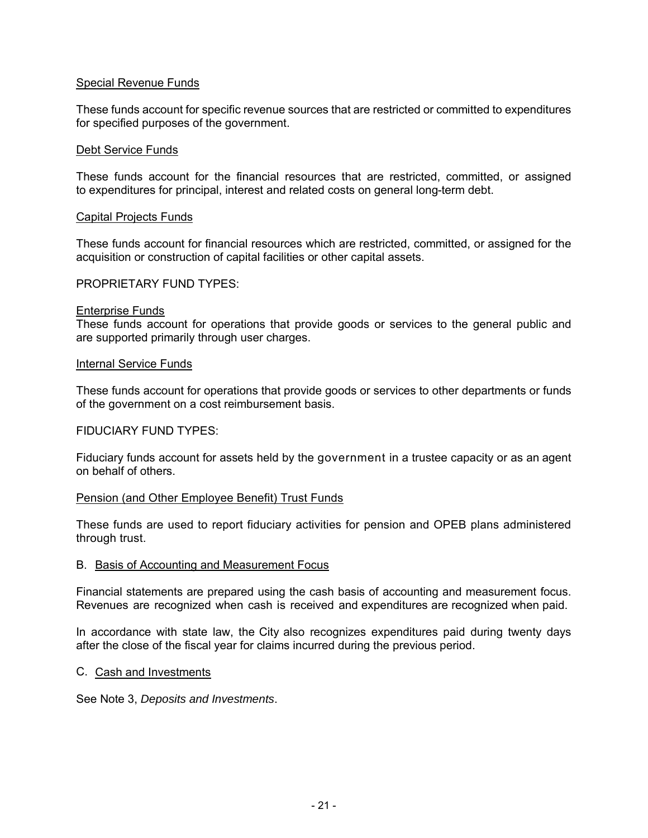#### Special Revenue Funds

These funds account for specific revenue sources that are restricted or committed to expenditures for specified purposes of the government.

#### Debt Service Funds

These funds account for the financial resources that are restricted, committed, or assigned to expenditures for principal, interest and related costs on general long-term debt.

#### Capital Projects Funds

These funds account for financial resources which are restricted, committed, or assigned for the acquisition or construction of capital facilities or other capital assets.

#### PROPRIETARY FUND TYPES:

#### Enterprise Funds

These funds account for operations that provide goods or services to the general public and are supported primarily through user charges.

#### Internal Service Funds

These funds account for operations that provide goods or services to other departments or funds of the government on a cost reimbursement basis.

#### FIDUCIARY FUND TYPES:

Fiduciary funds account for assets held by the government in a trustee capacity or as an agent on behalf of others.

#### Pension (and Other Employee Benefit) Trust Funds

These funds are used to report fiduciary activities for pension and OPEB plans administered through trust.

#### B. Basis of Accounting and Measurement Focus

Financial statements are prepared using the cash basis of accounting and measurement focus. Revenues are recognized when cash is received and expenditures are recognized when paid.

In accordance with state law, the City also recognizes expenditures paid during twenty days after the close of the fiscal year for claims incurred during the previous period.

#### C. Cash and Investments

See Note 3, *Deposits and Investments*.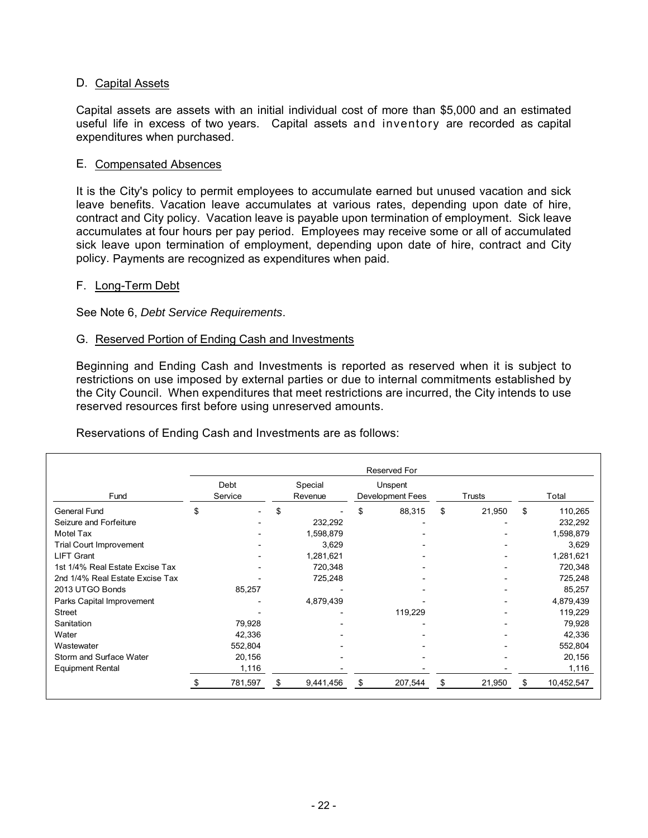#### D. Capital Assets

Capital assets are assets with an initial individual cost of more than \$5,000 and an estimated useful life in excess of two years. Capital assets and inventory are recorded as capital expenditures when purchased.

#### E. Compensated Absences

It is the City's policy to permit employees to accumulate earned but unused vacation and sick leave benefits. Vacation leave accumulates at various rates, depending upon date of hire, contract and City policy. Vacation leave is payable upon termination of employment. Sick leave accumulates at four hours per pay period. Employees may receive some or all of accumulated sick leave upon termination of employment, depending upon date of hire, contract and City policy. Payments are recognized as expenditures when paid.

#### F. Long-Term Debt

See Note 6, *Debt Service Requirements*.

#### G. Reserved Portion of Ending Cash and Investments

Beginning and Ending Cash and Investments is reported as reserved when it is subject to restrictions on use imposed by external parties or due to internal commitments established by the City Council. When expenditures that meet restrictions are incurred, the City intends to use reserved resources first before using unreserved amounts.

Reservations of Ending Cash and Investments are as follows:

|                                 |    |                 |    |                    | Reserved For                       |              |     |            |
|---------------------------------|----|-----------------|----|--------------------|------------------------------------|--------------|-----|------------|
| Fund                            |    | Debt<br>Service |    | Special<br>Revenue | Unspent<br><b>Development Fees</b> | Trusts       |     | Total      |
| <b>General Fund</b>             | \$ |                 | \$ |                    | \$<br>88,315                       | \$<br>21,950 | \$  | 110,265    |
| Seizure and Forfeiture          |    |                 |    | 232,292            |                                    |              |     | 232,292    |
| Motel Tax                       |    |                 |    | 1,598,879          |                                    |              |     | 1,598,879  |
| <b>Trial Court Improvement</b>  |    |                 |    | 3,629              |                                    |              |     | 3,629      |
| <b>LIFT Grant</b>               |    |                 |    | 1,281,621          |                                    |              |     | 1,281,621  |
| 1st 1/4% Real Estate Excise Tax |    |                 |    | 720,348            |                                    |              |     | 720,348    |
| 2nd 1/4% Real Estate Excise Tax |    |                 |    | 725,248            |                                    |              |     | 725,248    |
| 2013 UTGO Bonds                 |    | 85,257          |    |                    |                                    |              |     | 85,257     |
| Parks Capital Improvement       |    |                 |    | 4,879,439          |                                    |              |     | 4,879,439  |
| <b>Street</b>                   |    |                 |    |                    | 119,229                            |              |     | 119,229    |
| Sanitation                      |    | 79,928          |    |                    |                                    |              |     | 79,928     |
| Water                           |    | 42,336          |    |                    |                                    |              |     | 42,336     |
| Wastewater                      |    | 552,804         |    |                    |                                    |              |     | 552,804    |
| Storm and Surface Water         |    | 20,156          |    |                    |                                    |              |     | 20,156     |
| <b>Equipment Rental</b>         |    | 1,116           |    |                    |                                    |              |     | 1,116      |
|                                 | £. | 781,597         | S  | 9,441,456          | \$<br>207,544                      | \$<br>21,950 | \$. | 10,452,547 |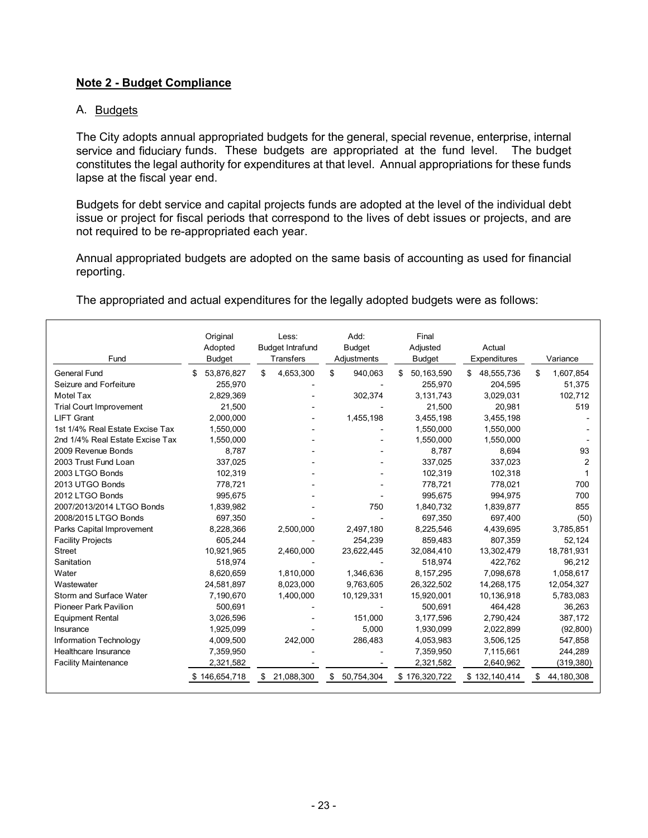#### **Note 2 - Budget Compliance**

#### A. Budgets

The City adopts annual appropriated budgets for the general, special revenue, enterprise, internal service and fiduciary funds. These budgets are appropriated at the fund level. The budget constitutes the legal authority for expenditures at that level. Annual appropriations for these funds lapse at the fiscal year end.

Budgets for debt service and capital projects funds are adopted at the level of the individual debt issue or project for fiscal periods that correspond to the lives of debt issues or projects, and are not required to be re-appropriated each year.

Annual appropriated budgets are adopted on the same basis of accounting as used for financial reporting.

The appropriated and actual expenditures for the legally adopted budgets were as follows:

| Fund                            | Original<br>Adopted<br><b>Budget</b> | Less:<br><b>Budget Intrafund</b><br>Transfers | Add:<br><b>Budget</b><br>Adjustments | Final<br>Adjusted<br><b>Budget</b> | Actual<br>Expenditures | Variance         |
|---------------------------------|--------------------------------------|-----------------------------------------------|--------------------------------------|------------------------------------|------------------------|------------------|
| <b>General Fund</b>             | 53,876,827<br>\$.                    | 4,653,300<br>\$.                              | \$<br>940,063                        | 50,163,590<br>\$                   | 48,555,736<br>\$.      | \$<br>1,607,854  |
| Seizure and Forfeiture          | 255,970                              |                                               |                                      | 255,970                            | 204,595                | 51,375           |
| Motel Tax                       | 2,829,369                            |                                               | 302,374                              | 3,131,743                          | 3,029,031              | 102.712          |
| <b>Trial Court Improvement</b>  | 21,500                               |                                               |                                      | 21,500                             | 20,981                 | 519              |
| <b>LIFT Grant</b>               | 2.000.000                            |                                               | 1.455.198                            | 3,455,198                          | 3,455,198              |                  |
| 1st 1/4% Real Estate Excise Tax | 1,550,000                            |                                               |                                      | 1,550,000                          | 1,550,000              |                  |
| 2nd 1/4% Real Estate Excise Tax | 1,550,000                            |                                               |                                      | 1,550,000                          | 1,550,000              |                  |
| 2009 Revenue Bonds              | 8.787                                |                                               |                                      | 8,787                              | 8,694                  | 93               |
| 2003 Trust Fund Loan            | 337,025                              |                                               |                                      | 337,025                            | 337,023                | 2                |
| 2003 LTGO Bonds                 | 102,319                              |                                               |                                      | 102,319                            | 102,318                |                  |
| 2013 UTGO Bonds                 | 778,721                              |                                               |                                      | 778,721                            | 778,021                | 700              |
| 2012 LTGO Bonds                 | 995,675                              |                                               |                                      | 995,675                            | 994,975                | 700              |
| 2007/2013/2014 LTGO Bonds       | 1,839,982                            |                                               | 750                                  | 1,840,732                          | 1,839,877              | 855              |
| 2008/2015 LTGO Bonds            | 697,350                              |                                               |                                      | 697,350                            | 697,400                | (50)             |
| Parks Capital Improvement       | 8,228,366                            | 2,500,000                                     | 2.497.180                            | 8,225,546                          | 4,439,695              | 3,785,851        |
| <b>Facility Projects</b>        | 605.244                              |                                               | 254.239                              | 859,483                            | 807,359                | 52,124           |
| <b>Street</b>                   | 10,921,965                           | 2,460,000                                     | 23,622,445                           | 32,084,410                         | 13,302,479             | 18,781,931       |
| Sanitation                      | 518.974                              |                                               |                                      | 518,974                            | 422.762                | 96.212           |
| Water                           | 8,620,659                            | 1,810,000                                     | 1,346,636                            | 8,157,295                          | 7.098.678              | 1,058,617        |
| Wastewater                      | 24,581,897                           | 8,023,000                                     | 9,763,605                            | 26,322,502                         | 14,268,175             | 12,054,327       |
| Storm and Surface Water         | 7,190,670                            | 1,400,000                                     | 10,129,331                           | 15,920,001                         | 10,136,918             | 5,783,083        |
| Pioneer Park Pavilion           | 500,691                              |                                               |                                      | 500,691                            | 464,428                | 36,263           |
| <b>Equipment Rental</b>         | 3,026,596                            |                                               | 151,000                              | 3,177,596                          | 2,790,424              | 387,172          |
| Insurance                       | 1,925,099                            |                                               | 5,000                                | 1,930,099                          | 2,022,899              | (92, 800)        |
| Information Technology          | 4,009,500                            | 242,000                                       | 286,483                              | 4,053,983                          | 3,506,125              | 547,858          |
| Healthcare Insurance            | 7,359,950                            |                                               |                                      | 7,359,950                          | 7,115,661              | 244,289          |
| <b>Facility Maintenance</b>     | 2,321,582                            |                                               |                                      | 2,321,582                          | 2,640,962              | (319, 380)       |
|                                 | \$146,654,718                        | 21,088,300<br>S                               | \$<br>50,754,304                     | \$176,320,722                      | \$132,140,414          | \$<br>44,180,308 |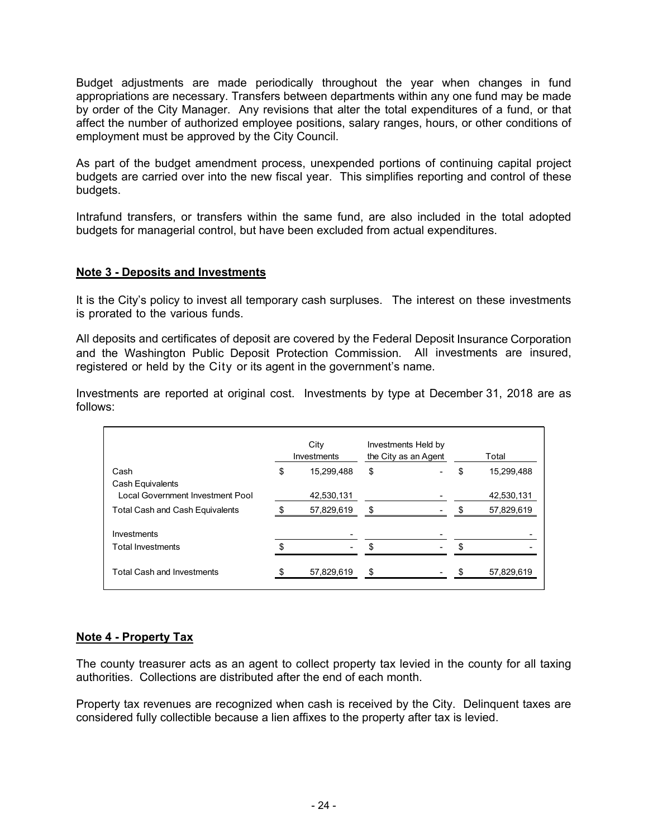Budget adjustments are made periodically throughout the year when changes in fund appropriations are necessary. Transfers between departments within any one fund may be made by order of the City Manager. Any revisions that alter the total expenditures of a fund, or that affect the number of authorized employee positions, salary ranges, hours, or other conditions of employment must be approved by the City Council.

As part of the budget amendment process, unexpended portions of continuing capital project budgets are carried over into the new fiscal year. This simplifies reporting and control of these budgets.

Intrafund transfers, or transfers within the same fund, are also included in the total adopted budgets for managerial control, but have been excluded from actual expenditures.

#### **Note 3 - Deposits and Investments**

It is the City's policy to invest all temporary cash surpluses. The interest on these investments is prorated to the various funds.

All deposits and certificates of deposit are covered by the Federal Deposit Insurance Corporation and the Washington Public Deposit Protection Commission. All investments are insured, registered or held by the City or its agent in the government's name.

Investments are reported at original cost. Investments by type at December 31, 2018 are as follows:

|                                                      | City<br>Investments | Investments Held by<br>the City as an Agent |     | Total      |
|------------------------------------------------------|---------------------|---------------------------------------------|-----|------------|
| Cash                                                 | \$<br>15,299,488    | \$                                          | \$  | 15,299,488 |
| Cash Equivalents<br>Local Government Investment Pool | 42,530,131          |                                             |     | 42,530,131 |
| <b>Total Cash and Cash Equivalents</b>               | 57,829,619          | \$                                          |     | 57,829,619 |
| Investments                                          |                     |                                             |     |            |
| <b>Total Investments</b>                             |                     | \$                                          | \$. |            |
| <b>Total Cash and Investments</b>                    | 57,829,619          | \$                                          |     | 57,829,619 |

#### **Note 4 - Property Tax**

The county treasurer acts as an agent to collect property tax levied in the county for all taxing authorities. Collections are distributed after the end of each month.

Property tax revenues are recognized when cash is received by the City. Delinquent taxes are considered fully collectible because a lien affixes to the property after tax is levied.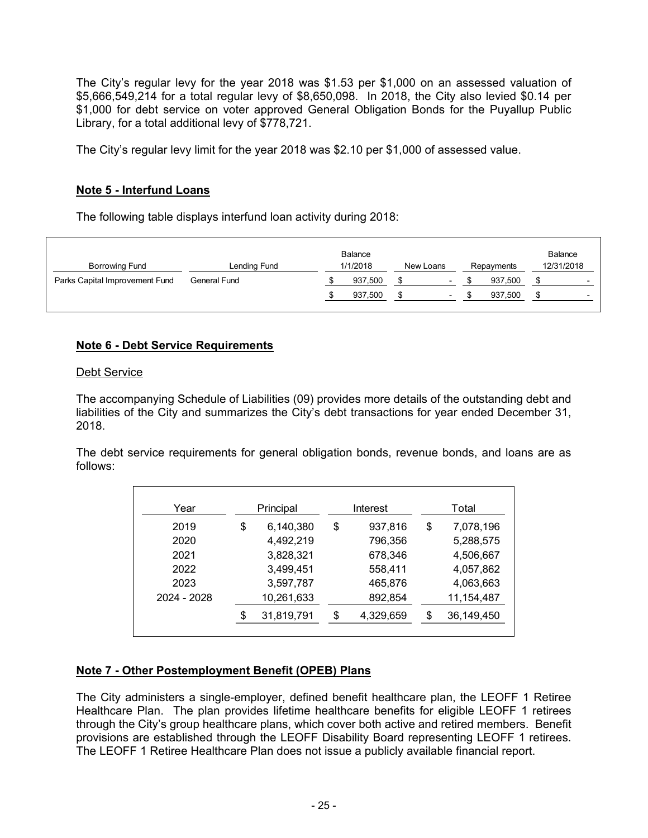The City's regular levy for the year 2018 was \$1.53 per \$1,000 on an assessed valuation of \$5,666,549,214 for a total regular levy of \$8,650,098. In 2018, the City also levied \$0.14 per \$1,000 for debt service on voter approved General Obligation Bonds for the Puyallup Public Library, for a total additional levy of \$778,721.

The City's regular levy limit for the year 2018 was \$2.10 per \$1,000 of assessed value.

#### **Note 5 - Interfund Loans**

The following table displays interfund loan activity during 2018:

| <b>Borrowing Fund</b>          | Lending Fund | <b>Balance</b><br>1/1/2018 | New Loans                | Repayments | <b>Balance</b><br>12/31/2018 |
|--------------------------------|--------------|----------------------------|--------------------------|------------|------------------------------|
| Parks Capital Improvement Fund | General Fund | 937,500                    | $\overline{\phantom{0}}$ | 937.500    |                              |
|                                |              | 937.500                    |                          | 937.500    |                              |

#### **Note 6 - Debt Service Requirements**

#### Debt Service

The accompanying Schedule of Liabilities (09) provides more details of the outstanding debt and liabilities of the City and summarizes the City's debt transactions for year ended December 31, 2018.

The debt service requirements for general obligation bonds, revenue bonds, and loans are as follows:

| Year        | Principal        | Interest        | Total            |
|-------------|------------------|-----------------|------------------|
| 2019        | \$<br>6,140,380  | \$<br>937,816   | \$<br>7,078,196  |
| 2020        | 4,492,219        | 796,356         | 5,288,575        |
| 2021        | 3,828,321        | 678,346         | 4,506,667        |
| 2022        | 3,499,451        | 558,411         | 4,057,862        |
| 2023        | 3,597,787        | 465,876         | 4,063,663        |
| 2024 - 2028 | 10,261,633       | 892,854         | 11,154,487       |
|             | \$<br>31,819,791 | \$<br>4,329,659 | \$<br>36,149,450 |

#### **Note 7 - Other Postemployment Benefit (OPEB) Plans**

The City administers a single-employer, defined benefit healthcare plan, the LEOFF 1 Retiree Healthcare Plan. The plan provides lifetime healthcare benefits for eligible LEOFF 1 retirees through the City's group healthcare plans, which cover both active and retired members. Benefit provisions are established through the LEOFF Disability Board representing LEOFF 1 retirees. The LEOFF 1 Retiree Healthcare Plan does not issue a publicly available financial report.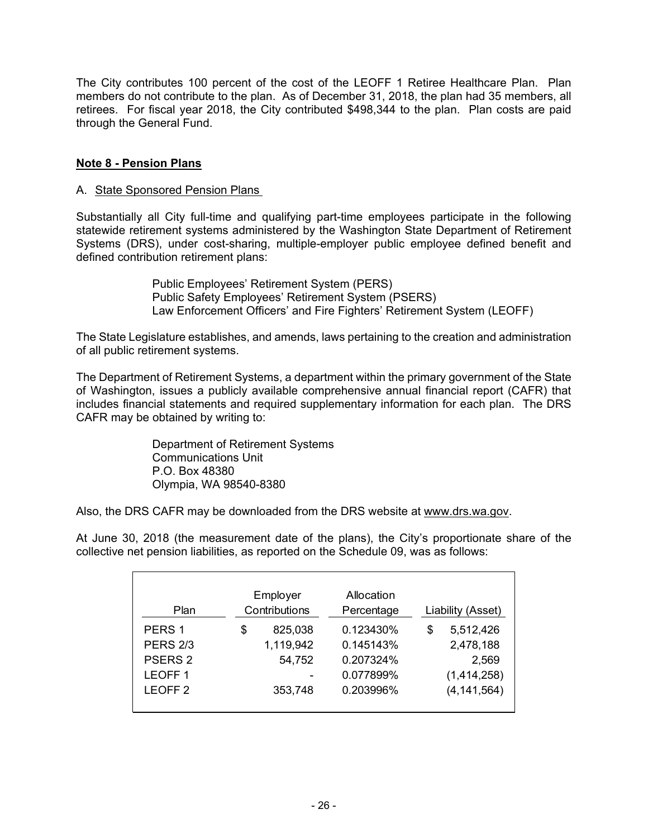The City contributes 100 percent of the cost of the LEOFF 1 Retiree Healthcare Plan. Plan members do not contribute to the plan. As of December 31, 2018, the plan had 35 members, all retirees. For fiscal year 2018, the City contributed \$498,344 to the plan. Plan costs are paid through the General Fund.

#### **Note 8 - Pension Plans**

#### A. State Sponsored Pension Plans

Substantially all City full-time and qualifying part-time employees participate in the following statewide retirement systems administered by the Washington State Department of Retirement Systems (DRS), under cost-sharing, multiple-employer public employee defined benefit and defined contribution retirement plans:

> Public Employees' Retirement System (PERS) Public Safety Employees' Retirement System (PSERS) Law Enforcement Officers' and Fire Fighters' Retirement System (LEOFF)

The State Legislature establishes, and amends, laws pertaining to the creation and administration of all public retirement systems.

The Department of Retirement Systems, a department within the primary government of the State of Washington, issues a publicly available comprehensive annual financial report (CAFR) that includes financial statements and required supplementary information for each plan. The DRS CAFR may be obtained by writing to:

> Department of Retirement Systems Communications Unit P.O. Box 48380 Olympia, WA 98540-8380

Also, the DRS CAFR may be downloaded from the DRS website at www.drs.wa.gov.

At June 30, 2018 (the measurement date of the plans), the City's proportionate share of the collective net pension liabilities, as reported on the Schedule 09, was as follows:

| Plan               | Employer<br>Contributions | Allocation<br>Percentage | Liability (Asset) |
|--------------------|---------------------------|--------------------------|-------------------|
| PERS <sub>1</sub>  | \$<br>825,038             | 0.123430%                | \$<br>5,512,426   |
| <b>PERS 2/3</b>    | 1,119,942                 | 0.145143%                | 2,478,188         |
| PSERS <sub>2</sub> | 54,752                    | 0.207324%                | 2,569             |
| LEOFF <sub>1</sub> |                           | 0.077899%                | (1,414,258)       |
| LEOFF <sub>2</sub> | 353,748                   | 0.203996%                | (4, 141, 564)     |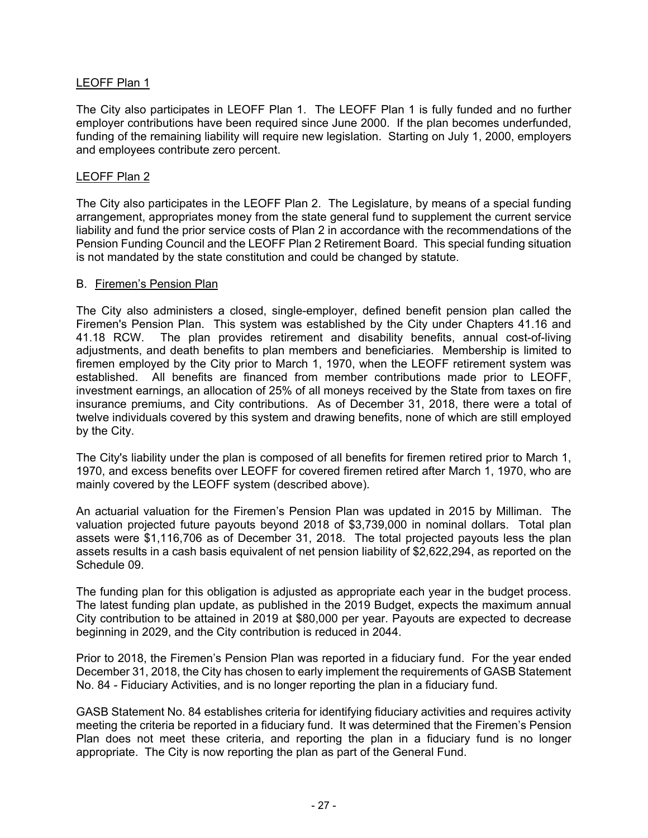#### LEOFF Plan 1

The City also participates in LEOFF Plan 1. The LEOFF Plan 1 is fully funded and no further employer contributions have been required since June 2000. If the plan becomes underfunded, funding of the remaining liability will require new legislation. Starting on July 1, 2000, employers and employees contribute zero percent.

#### LEOFF Plan 2

The City also participates in the LEOFF Plan 2. The Legislature, by means of a special funding arrangement, appropriates money from the state general fund to supplement the current service liability and fund the prior service costs of Plan 2 in accordance with the recommendations of the Pension Funding Council and the LEOFF Plan 2 Retirement Board. This special funding situation is not mandated by the state constitution and could be changed by statute.

#### B. Firemen's Pension Plan

The City also administers a closed, single-employer, defined benefit pension plan called the Firemen's Pension Plan. This system was established by the City under Chapters 41.16 and 41.18 RCW. The plan provides retirement and disability benefits, annual cost-of-living adjustments, and death benefits to plan members and beneficiaries. Membership is limited to firemen employed by the City prior to March 1, 1970, when the LEOFF retirement system was established. All benefits are financed from member contributions made prior to LEOFF, investment earnings, an allocation of 25% of all moneys received by the State from taxes on fire insurance premiums, and City contributions. As of December 31, 2018, there were a total of twelve individuals covered by this system and drawing benefits, none of which are still employed by the City.

The City's liability under the plan is composed of all benefits for firemen retired prior to March 1, 1970, and excess benefits over LEOFF for covered firemen retired after March 1, 1970, who are mainly covered by the LEOFF system (described above).

An actuarial valuation for the Firemen's Pension Plan was updated in 2015 by Milliman. The valuation projected future payouts beyond 2018 of \$3,739,000 in nominal dollars. Total plan assets were \$1,116,706 as of December 31, 2018. The total projected payouts less the plan assets results in a cash basis equivalent of net pension liability of \$2,622,294, as reported on the Schedule 09.

The funding plan for this obligation is adjusted as appropriate each year in the budget process. The latest funding plan update, as published in the 2019 Budget, expects the maximum annual City contribution to be attained in 2019 at \$80,000 per year. Payouts are expected to decrease beginning in 2029, and the City contribution is reduced in 2044.

Prior to 2018, the Firemen's Pension Plan was reported in a fiduciary fund. For the year ended December 31, 2018, the City has chosen to early implement the requirements of GASB Statement No. 84 - Fiduciary Activities, and is no longer reporting the plan in a fiduciary fund.

GASB Statement No. 84 establishes criteria for identifying fiduciary activities and requires activity meeting the criteria be reported in a fiduciary fund. It was determined that the Firemen's Pension Plan does not meet these criteria, and reporting the plan in a fiduciary fund is no longer appropriate. The City is now reporting the plan as part of the General Fund.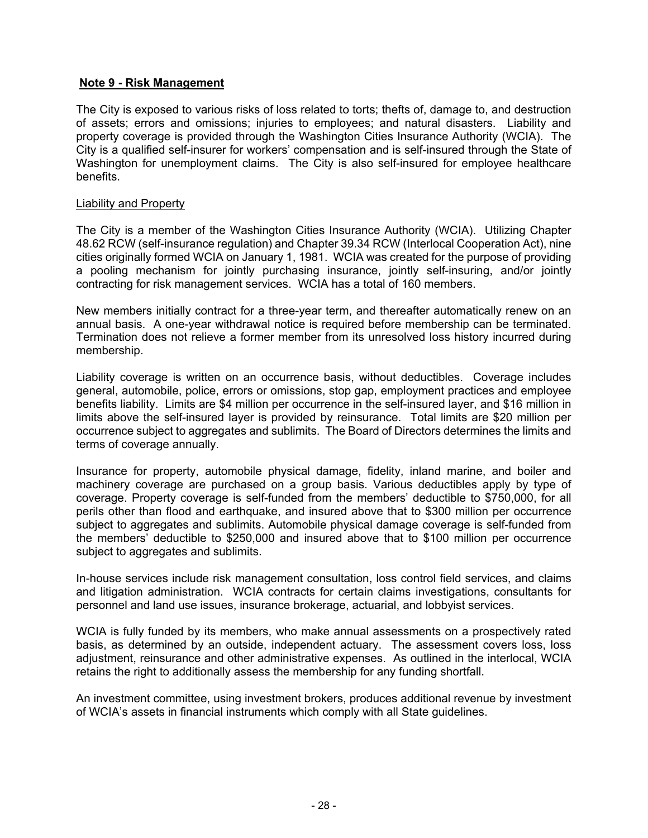#### **Note 9 - Risk Management**

The City is exposed to various risks of loss related to torts; thefts of, damage to, and destruction of assets; errors and omissions; injuries to employees; and natural disasters. Liability and property coverage is provided through the Washington Cities Insurance Authority (WCIA). The City is a qualified self-insurer for workers' compensation and is self-insured through the State of Washington for unemployment claims. The City is also self-insured for employee healthcare benefits.

#### Liability and Property

The City is a member of the Washington Cities Insurance Authority (WCIA). Utilizing Chapter 48.62 RCW (self-insurance regulation) and Chapter 39.34 RCW (Interlocal Cooperation Act), nine cities originally formed WCIA on January 1, 1981. WCIA was created for the purpose of providing a pooling mechanism for jointly purchasing insurance, jointly self-insuring, and/or jointly contracting for risk management services. WCIA has a total of 160 members.

New members initially contract for a three-year term, and thereafter automatically renew on an annual basis. A one-year withdrawal notice is required before membership can be terminated. Termination does not relieve a former member from its unresolved loss history incurred during membership.

Liability coverage is written on an occurrence basis, without deductibles. Coverage includes general, automobile, police, errors or omissions, stop gap, employment practices and employee benefits liability. Limits are \$4 million per occurrence in the self-insured layer, and \$16 million in limits above the self-insured layer is provided by reinsurance. Total limits are \$20 million per occurrence subject to aggregates and sublimits. The Board of Directors determines the limits and terms of coverage annually.

Insurance for property, automobile physical damage, fidelity, inland marine, and boiler and machinery coverage are purchased on a group basis. Various deductibles apply by type of coverage. Property coverage is self-funded from the members' deductible to \$750,000, for all perils other than flood and earthquake, and insured above that to \$300 million per occurrence subject to aggregates and sublimits. Automobile physical damage coverage is self-funded from the members' deductible to \$250,000 and insured above that to \$100 million per occurrence subject to aggregates and sublimits.

In-house services include risk management consultation, loss control field services, and claims and litigation administration. WCIA contracts for certain claims investigations, consultants for personnel and land use issues, insurance brokerage, actuarial, and lobbyist services.

WCIA is fully funded by its members, who make annual assessments on a prospectively rated basis, as determined by an outside, independent actuary. The assessment covers loss, loss adjustment, reinsurance and other administrative expenses. As outlined in the interlocal, WCIA retains the right to additionally assess the membership for any funding shortfall.

An investment committee, using investment brokers, produces additional revenue by investment of WCIA's assets in financial instruments which comply with all State guidelines.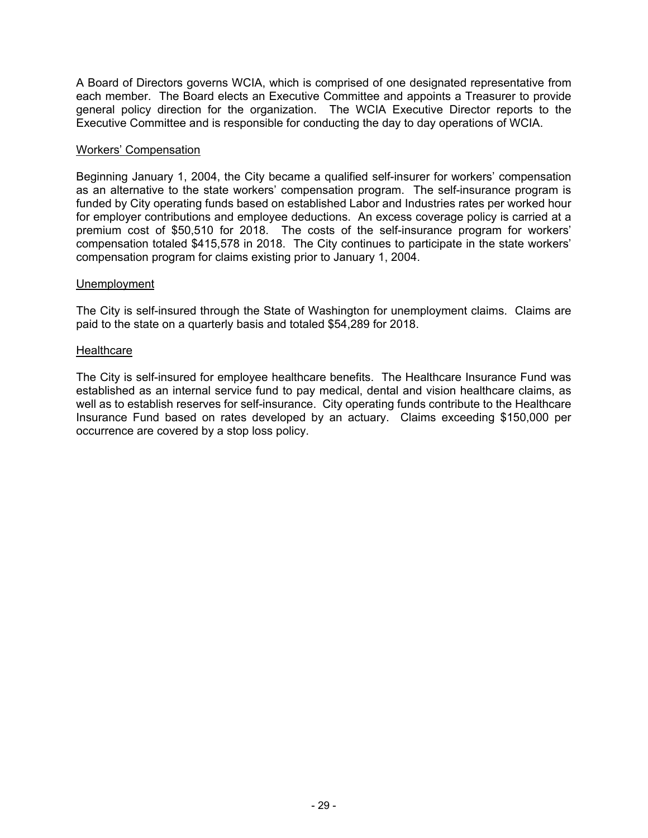A Board of Directors governs WCIA, which is comprised of one designated representative from each member. The Board elects an Executive Committee and appoints a Treasurer to provide general policy direction for the organization. The WCIA Executive Director reports to the Executive Committee and is responsible for conducting the day to day operations of WCIA.

#### Workers' Compensation

Beginning January 1, 2004, the City became a qualified self-insurer for workers' compensation as an alternative to the state workers' compensation program. The self-insurance program is funded by City operating funds based on established Labor and Industries rates per worked hour for employer contributions and employee deductions. An excess coverage policy is carried at a premium cost of \$50,510 for 2018. The costs of the self-insurance program for workers' compensation totaled \$415,578 in 2018. The City continues to participate in the state workers' compensation program for claims existing prior to January 1, 2004.

#### Unemployment

The City is self-insured through the State of Washington for unemployment claims. Claims are paid to the state on a quarterly basis and totaled \$54,289 for 2018.

#### **Healthcare**

The City is self-insured for employee healthcare benefits. The Healthcare Insurance Fund was established as an internal service fund to pay medical, dental and vision healthcare claims, as well as to establish reserves for self-insurance. City operating funds contribute to the Healthcare Insurance Fund based on rates developed by an actuary. Claims exceeding \$150,000 per occurrence are covered by a stop loss policy.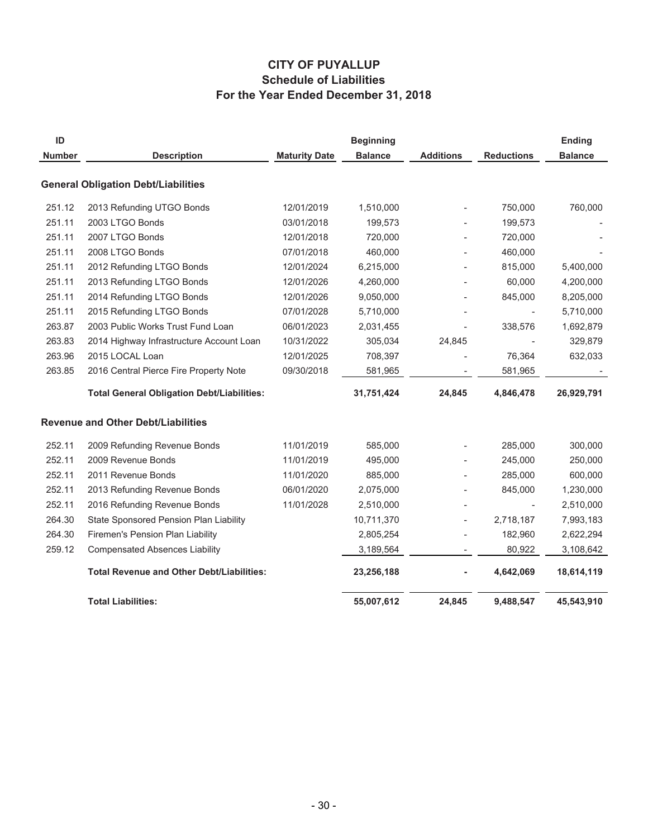# **CITY OF PUYALLUP Schedule of Liabilities For the Year Ended December 31, 2018**

| ID<br><b>Number</b> | <b>Description</b>                                | <b>Maturity Date</b> | <b>Beginning</b><br><b>Balance</b> | <b>Additions</b> | <b>Reductions</b>        | <b>Ending</b><br><b>Balance</b> |
|---------------------|---------------------------------------------------|----------------------|------------------------------------|------------------|--------------------------|---------------------------------|
|                     | <b>General Obligation Debt/Liabilities</b>        |                      |                                    |                  |                          |                                 |
| 251.12              | 2013 Refunding UTGO Bonds                         | 12/01/2019           | 1,510,000                          |                  | 750,000                  | 760,000                         |
| 251.11              | 2003 LTGO Bonds                                   | 03/01/2018           | 199,573                            |                  | 199,573                  |                                 |
| 251.11              | 2007 LTGO Bonds                                   | 12/01/2018           | 720,000                            |                  | 720,000                  |                                 |
| 251.11              | 2008 LTGO Bonds                                   | 07/01/2018           | 460,000                            |                  | 460,000                  |                                 |
| 251.11              | 2012 Refunding LTGO Bonds                         | 12/01/2024           | 6,215,000                          |                  | 815,000                  | 5,400,000                       |
| 251.11              | 2013 Refunding LTGO Bonds                         | 12/01/2026           | 4,260,000                          |                  | 60,000                   | 4,200,000                       |
| 251.11              | 2014 Refunding LTGO Bonds                         | 12/01/2026           | 9,050,000                          |                  | 845,000                  | 8,205,000                       |
| 251.11              | 2015 Refunding LTGO Bonds                         | 07/01/2028           | 5,710,000                          |                  | $\overline{\phantom{a}}$ | 5,710,000                       |
| 263.87              | 2003 Public Works Trust Fund Loan                 | 06/01/2023           | 2,031,455                          |                  | 338,576                  | 1,692,879                       |
| 263.83              | 2014 Highway Infrastructure Account Loan          | 10/31/2022           | 305,034                            | 24,845           |                          | 329,879                         |
| 263.96              | 2015 LOCAL Loan                                   | 12/01/2025           | 708,397                            |                  | 76,364                   | 632,033                         |
| 263.85              | 2016 Central Pierce Fire Property Note            | 09/30/2018           | 581,965                            |                  | 581,965                  |                                 |
|                     | <b>Total General Obligation Debt/Liabilities:</b> |                      | 31,751,424                         | 24,845           | 4,846,478                | 26,929,791                      |
|                     | <b>Revenue and Other Debt/Liabilities</b>         |                      |                                    |                  |                          |                                 |
| 252.11              | 2009 Refunding Revenue Bonds                      | 11/01/2019           | 585,000                            |                  | 285,000                  | 300,000                         |
| 252.11              | 2009 Revenue Bonds                                | 11/01/2019           | 495,000                            |                  | 245,000                  | 250,000                         |
| 252.11              | 2011 Revenue Bonds                                | 11/01/2020           | 885,000                            |                  | 285,000                  | 600,000                         |
| 252.11              | 2013 Refunding Revenue Bonds                      | 06/01/2020           | 2,075,000                          |                  | 845,000                  | 1,230,000                       |
| 252.11              | 2016 Refunding Revenue Bonds                      | 11/01/2028           | 2,510,000                          |                  |                          | 2,510,000                       |
| 264.30              | State Sponsored Pension Plan Liability            |                      | 10,711,370                         |                  | 2,718,187                | 7,993,183                       |
| 264.30              | Firemen's Pension Plan Liability                  |                      | 2,805,254                          |                  | 182,960                  | 2,622,294                       |
| 259.12              | <b>Compensated Absences Liability</b>             |                      | 3,189,564                          |                  | 80,922                   | 3,108,642                       |
|                     | <b>Total Revenue and Other Debt/Liabilities:</b>  |                      | 23,256,188                         |                  | 4,642,069                | 18,614,119                      |
|                     | <b>Total Liabilities:</b>                         |                      | 55,007,612                         | 24,845           | 9,488,547                | 45,543,910                      |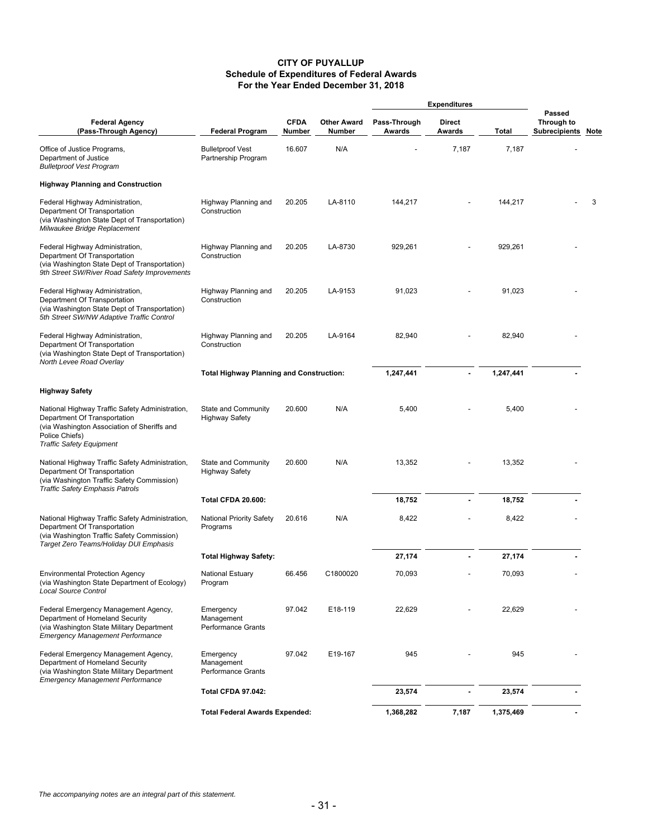#### **CITY OF PUYALLUP Schedule of Expenditures of Federal Awards For the Year Ended December 31, 2018**

|                                                                                                                                                                                     |                                                      |                       |                                     |                        | <b>Expenditures</b> |           |                                            |   |
|-------------------------------------------------------------------------------------------------------------------------------------------------------------------------------------|------------------------------------------------------|-----------------------|-------------------------------------|------------------------|---------------------|-----------|--------------------------------------------|---|
| <b>Federal Agency</b><br>(Pass-Through Agency)                                                                                                                                      | <b>Federal Program</b>                               | <b>CFDA</b><br>Number | <b>Other Award</b><br><b>Number</b> | Pass-Through<br>Awards | Direct<br>Awards    | Total     | Passed<br>Through to<br>Subrecipients Note |   |
| Office of Justice Programs,<br>Department of Justice<br><b>Bulletproof Vest Program</b>                                                                                             | <b>Bulletproof Vest</b><br>Partnership Program       | 16.607                | N/A                                 |                        | 7,187               | 7,187     |                                            |   |
| <b>Highway Planning and Construction</b>                                                                                                                                            |                                                      |                       |                                     |                        |                     |           |                                            |   |
| Federal Highway Administration,<br>Department Of Transportation<br>(via Washington State Dept of Transportation)<br>Milwaukee Bridge Replacement                                    | Highway Planning and<br>Construction                 | 20.205                | LA-8110                             | 144,217                |                     | 144,217   |                                            | 3 |
| Federal Highway Administration,<br>Department Of Transportation<br>(via Washington State Dept of Transportation)<br>9th Street SW/River Road Safety Improvements                    | Highway Planning and<br>Construction                 | 20.205                | LA-8730                             | 929,261                |                     | 929,261   |                                            |   |
| Federal Highway Administration,<br>Department Of Transportation<br>(via Washington State Dept of Transportation)<br>5th Street SW/NW Adaptive Traffic Control                       | Highway Planning and<br>Construction                 | 20.205                | LA-9153                             | 91,023                 |                     | 91,023    |                                            |   |
| Federal Highway Administration,<br>Department Of Transportation<br>(via Washington State Dept of Transportation)<br>North Levee Road Overlay                                        | Highway Planning and<br>Construction                 | 20.205                | LA-9164                             | 82,940                 |                     | 82,940    |                                            |   |
|                                                                                                                                                                                     | <b>Total Highway Planning and Construction:</b>      |                       |                                     | 1,247,441              | $\blacksquare$      | 1,247,441 |                                            |   |
| <b>Highway Safety</b>                                                                                                                                                               |                                                      |                       |                                     |                        |                     |           |                                            |   |
| National Highway Traffic Safety Administration,<br>Department Of Transportation<br>(via Washington Association of Sheriffs and<br>Police Chiefs)<br><b>Traffic Safety Equipment</b> | State and Community<br><b>Highway Safety</b>         | 20.600                | N/A                                 | 5,400                  |                     | 5,400     |                                            |   |
| National Highway Traffic Safety Administration,<br>Department Of Transportation<br>(via Washington Traffic Safety Commission)<br><b>Traffic Safety Emphasis Patrols</b>             | State and Community<br><b>Highway Safety</b>         | 20.600                | N/A                                 | 13,352                 |                     | 13,352    |                                            |   |
|                                                                                                                                                                                     | <b>Total CFDA 20.600:</b>                            |                       |                                     | 18,752                 | ÷.                  | 18,752    |                                            |   |
| National Highway Traffic Safety Administration,<br>Department Of Transportation<br>(via Washington Traffic Safety Commission)<br>Target Zero Teams/Holiday DUI Emphasis             | <b>National Priority Safety</b><br>Programs          | 20.616                | N/A                                 | 8,422                  |                     | 8,422     |                                            |   |
|                                                                                                                                                                                     | <b>Total Highway Safety:</b>                         |                       |                                     | 27,174                 |                     | 27,174    |                                            |   |
| <b>Environmental Protection Agency</b><br>(via Washington State Department of Ecology)<br><b>Local Source Control</b>                                                               | <b>National Estuary</b><br>Program                   | 66.456                | C1800020                            | 70,093                 |                     | 70,093    |                                            |   |
| Federal Emergency Management Agency,<br>Department of Homeland Security<br>(via Washington State Military Department<br><b>Emergency Management Performance</b>                     | Emergency<br>Management<br><b>Performance Grants</b> | 97.042                | E18-119                             | 22,629                 |                     | 22,629    |                                            |   |
| Federal Emergency Management Agency,<br>Department of Homeland Security<br>(via Washington State Military Department<br><b>Emergency Management Performance</b>                     | Emergency<br>Management<br><b>Performance Grants</b> | 97.042                | E19-167                             | 945                    |                     | 945       |                                            |   |
|                                                                                                                                                                                     | <b>Total CFDA 97.042:</b>                            |                       |                                     | 23,574                 |                     | 23,574    |                                            |   |
|                                                                                                                                                                                     | <b>Total Federal Awards Expended:</b>                |                       |                                     | 1,368,282              | 7,187               | 1,375,469 |                                            |   |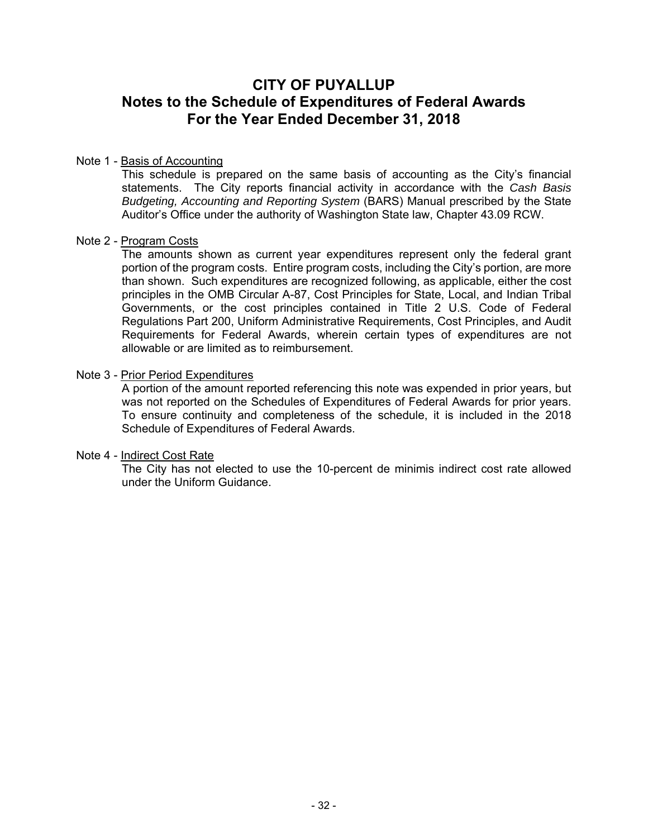# **CITY OF PUYALLUP Notes to the Schedule of Expenditures of Federal Awards For the Year Ended December 31, 2018**

#### Note 1 - Basis of Accounting

This schedule is prepared on the same basis of accounting as the City's financial statements. The City reports financial activity in accordance with the *Cash Basis Budgeting, Accounting and Reporting System* (BARS) Manual prescribed by the State Auditor's Office under the authority of Washington State law, Chapter 43.09 RCW.

#### Note 2 - Program Costs

The amounts shown as current year expenditures represent only the federal grant portion of the program costs. Entire program costs, including the City's portion, are more than shown. Such expenditures are recognized following, as applicable, either the cost principles in the OMB Circular A-87, Cost Principles for State, Local, and Indian Tribal Governments, or the cost principles contained in Title 2 U.S. Code of Federal Regulations Part 200, Uniform Administrative Requirements, Cost Principles, and Audit Requirements for Federal Awards, wherein certain types of expenditures are not allowable or are limited as to reimbursement.

#### Note 3 - Prior Period Expenditures

A portion of the amount reported referencing this note was expended in prior years, but was not reported on the Schedules of Expenditures of Federal Awards for prior years. To ensure continuity and completeness of the schedule, it is included in the 2018 Schedule of Expenditures of Federal Awards.

#### Note 4 - Indirect Cost Rate

The City has not elected to use the 10-percent de minimis indirect cost rate allowed under the Uniform Guidance.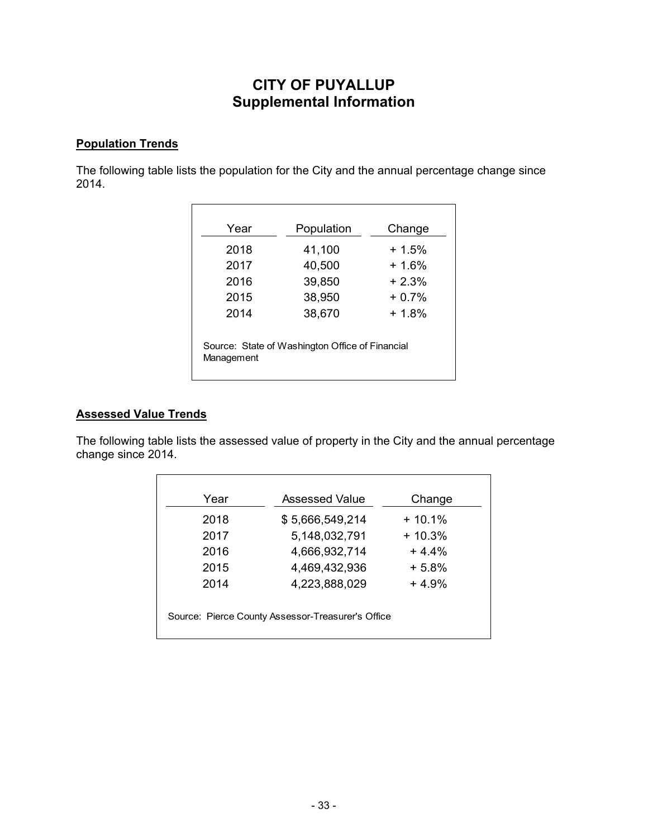# **CITY OF PUYALLUP Supplemental Information**

### **Population Trends**

The following table lists the population for the City and the annual percentage change since 2014.

| Year       | Population                                      | Change  |
|------------|-------------------------------------------------|---------|
|            |                                                 |         |
| 2018       | 41,100                                          | $+1.5%$ |
| 2017       | 40,500                                          | $+1.6%$ |
| 2016       | 39,850                                          | $+2.3%$ |
| 2015       | 38,950                                          | $+0.7%$ |
| 2014       | 38,670                                          | $+1.8%$ |
|            | Source: State of Washington Office of Financial |         |
| Management |                                                 |         |

### **Assessed Value Trends**

The following table lists the assessed value of property in the City and the annual percentage change since 2014.

| Year | Assessed Value  | Change   |
|------|-----------------|----------|
| 2018 | \$5,666,549,214 | $+10.1%$ |
| 2017 | 5,148,032,791   | $+10.3%$ |
| 2016 | 4,666,932,714   | $+44%$   |
| 2015 | 4,469,432,936   | $+5.8%$  |
| 2014 | 4,223,888,029   | $+4.9%$  |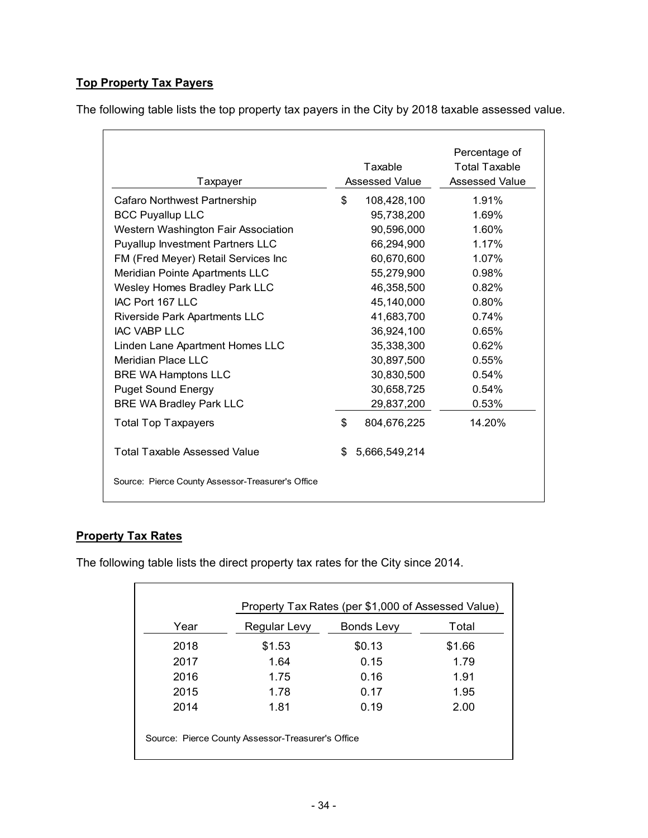# **Top Property Tax Payers**

The following table lists the top property tax payers in the City by 2018 taxable assessed value.

|                                                   |                       | Percentage of         |
|---------------------------------------------------|-----------------------|-----------------------|
|                                                   | Taxable               | <b>Total Taxable</b>  |
| Taxpayer                                          | <b>Assessed Value</b> | <b>Assessed Value</b> |
| Cafaro Northwest Partnership                      | \$<br>108,428,100     | 1.91%                 |
| <b>BCC Puyallup LLC</b>                           | 95,738,200            | 1.69%                 |
| Western Washington Fair Association               | 90,596,000            | 1.60%                 |
| <b>Puyallup Investment Partners LLC</b>           | 66,294,900            | 1.17%                 |
| FM (Fred Meyer) Retail Services Inc               | 60,670,600            | 1.07%                 |
| Meridian Pointe Apartments LLC                    | 55,279,900            | 0.98%                 |
| <b>Wesley Homes Bradley Park LLC</b>              | 46,358,500            | 0.82%                 |
| IAC Port 167 LLC                                  | 45,140,000            | 0.80%                 |
| <b>Riverside Park Apartments LLC</b>              | 41,683,700            | 0.74%                 |
| IAC VABP LLC                                      | 36,924,100            | 0.65%                 |
| Linden Lane Apartment Homes LLC                   | 35,338,300            | 0.62%                 |
| Meridian Place LLC                                | 30,897,500            | 0.55%                 |
| <b>BRE WA Hamptons LLC</b>                        | 30,830,500            | 0.54%                 |
| <b>Puget Sound Energy</b>                         | 30,658,725            | 0.54%                 |
| <b>BRE WA Bradley Park LLC</b>                    | 29,837,200            | 0.53%                 |
| <b>Total Top Taxpayers</b>                        | \$<br>804,676,225     | 14.20%                |
| <b>Total Taxable Assessed Value</b>               | \$<br>5,666,549,214   |                       |
| Source: Pierce County Assessor-Treasurer's Office |                       |                       |

### **Property Tax Rates**

The following table lists the direct property tax rates for the City since 2014.

| Year | Regular Levy | Bonds Levy | Total  |
|------|--------------|------------|--------|
| 2018 | \$1.53       | \$0.13     | \$1.66 |
| 2017 | 1.64         | 0.15       | 1.79   |
| 2016 | 1.75         | 0.16       | 1.91   |
| 2015 | 1.78         | 0.17       | 1.95   |
| 2014 | 1.81         | 0.19       | 2.00   |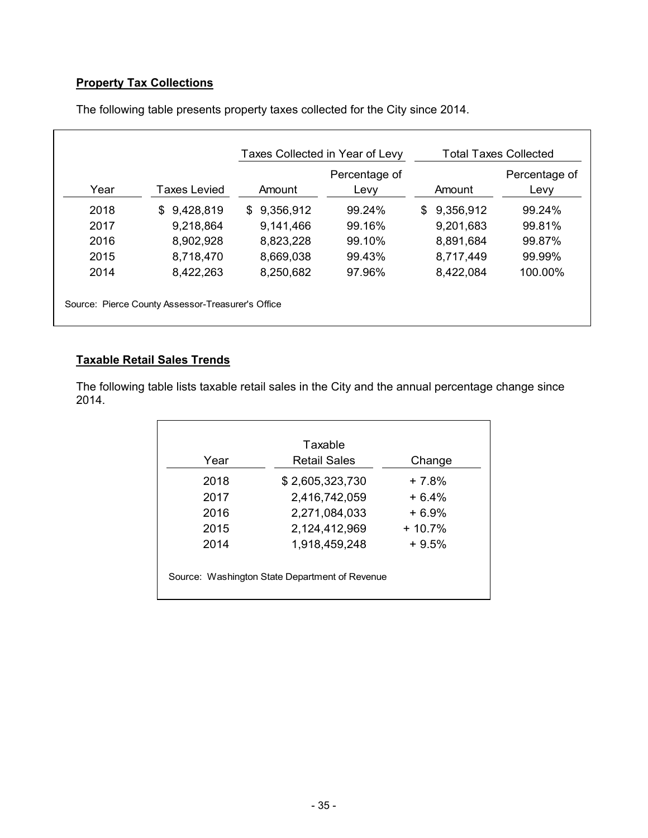# **Property Tax Collections**

|      |                 |             | Percentage of |                 | Percentage of |
|------|-----------------|-------------|---------------|-----------------|---------------|
| Year | Taxes Levied    | Amount      | Levy          | Amount          | Levy          |
| 2018 | 9,428,819<br>\$ | \$9,356,912 | 99.24%        | 9,356,912<br>\$ | 99.24%        |
| 2017 | 9,218,864       | 9,141,466   | 99.16%        | 9,201,683       | 99.81%        |
| 2016 | 8,902,928       | 8,823,228   | 99.10%        | 8,891,684       | 99.87%        |
| 2015 | 8,718,470       | 8,669,038   | 99.43%        | 8,717,449       | 99.99%        |
| 2014 | 8,422,263       | 8,250,682   | 97.96%        | 8,422,084       | 100.00%       |

The following table presents property taxes collected for the City since 2014.

# **Taxable Retail Sales Trends**

The following table lists taxable retail sales in the City and the annual percentage change since 2014.

|      | Taxable                                        |          |
|------|------------------------------------------------|----------|
| Year | Retail Sales                                   | Change   |
| 2018 | \$2,605,323,730                                | + 7.8%   |
| 2017 | 2,416,742,059                                  | $+6.4%$  |
| 2016 | 2,271,084,033                                  | $+6.9%$  |
| 2015 | 2,124,412,969                                  | $+10.7%$ |
| 2014 | 1,918,459,248                                  | $+9.5%$  |
|      |                                                |          |
|      | Source: Washington State Department of Revenue |          |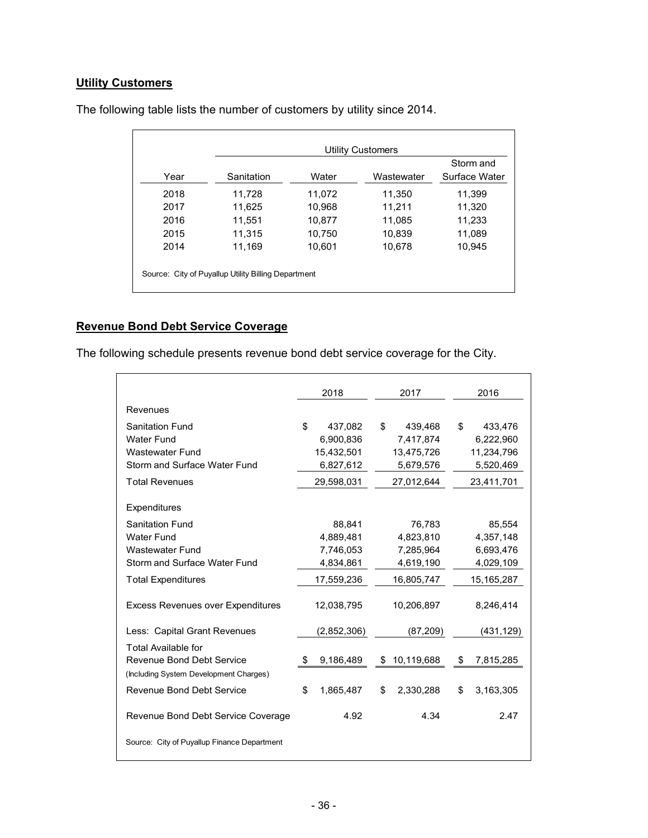# **Utility Customers**

| Sanitation |        |            |               |
|------------|--------|------------|---------------|
|            | Water  | Wastewater | Surface Water |
| 11,728     | 11.072 | 11,350     | 11,399        |
| 11,625     | 10,968 | 11,211     | 11,320        |
| 11,551     | 10,877 | 11,085     | 11,233        |
| 11,315     | 10,750 | 10,839     | 11,089        |
| 11,169     | 10,601 | 10,678     | 10,945        |
|            |        |            |               |

The following table lists the number of customers by utility since 2014.

# **Revenue Bond Debt Service Coverage**

The following schedule presents revenue bond debt service coverage for the City.

|                                                                                                          | 2018 |             | 2017             |    | 2016         |
|----------------------------------------------------------------------------------------------------------|------|-------------|------------------|----|--------------|
| Revenues                                                                                                 |      |             |                  |    |              |
| <b>Sanitation Fund</b>                                                                                   | \$   | 437,082     | \$<br>439,468    | \$ | 433,476      |
| Water Fund                                                                                               |      | 6,900,836   | 7,417,874        |    | 6,222,960    |
| <b>Wastewater Fund</b>                                                                                   |      | 15,432,501  | 13,475,726       |    | 11,234,796   |
| Storm and Surface Water Fund                                                                             |      | 6,827,612   | 5,679,576        |    | 5,520,469    |
| <b>Total Revenues</b>                                                                                    |      | 29,598,031  | 27,012,644       |    | 23,411,701   |
| Expenditures                                                                                             |      |             |                  |    |              |
| <b>Sanitation Fund</b>                                                                                   |      | 88,841      | 76,783           |    | 85,554       |
| <b>Water Fund</b>                                                                                        |      | 4,889,481   | 4,823,810        |    | 4,357,148    |
| Wastewater Fund                                                                                          |      | 7,746,053   | 7,285,964        |    | 6,693,476    |
| Storm and Surface Water Fund                                                                             |      | 4,834,861   | 4,619,190        |    | 4,029,109    |
| <b>Total Expenditures</b>                                                                                |      | 17,559,236  | 16,805,747       |    | 15, 165, 287 |
| <b>Excess Revenues over Expenditures</b>                                                                 |      | 12,038,795  | 10,206,897       |    | 8,246,414    |
| Less: Capital Grant Revenues                                                                             |      | (2,852,306) | (87, 209)        |    | (431, 129)   |
| <b>Total Available for</b><br><b>Revenue Bond Debt Service</b><br>(Including System Development Charges) | \$   | 9,186,489   | \$<br>10,119,688 | \$ | 7,815,285    |
| Revenue Bond Debt Service                                                                                | \$   | 1,865,487   | \$<br>2,330,288  | \$ | 3,163,305    |
| Revenue Bond Debt Service Coverage                                                                       |      | 4.92        | 4.34             |    | 2.47         |
| Source: City of Puyallup Finance Department                                                              |      |             |                  |    |              |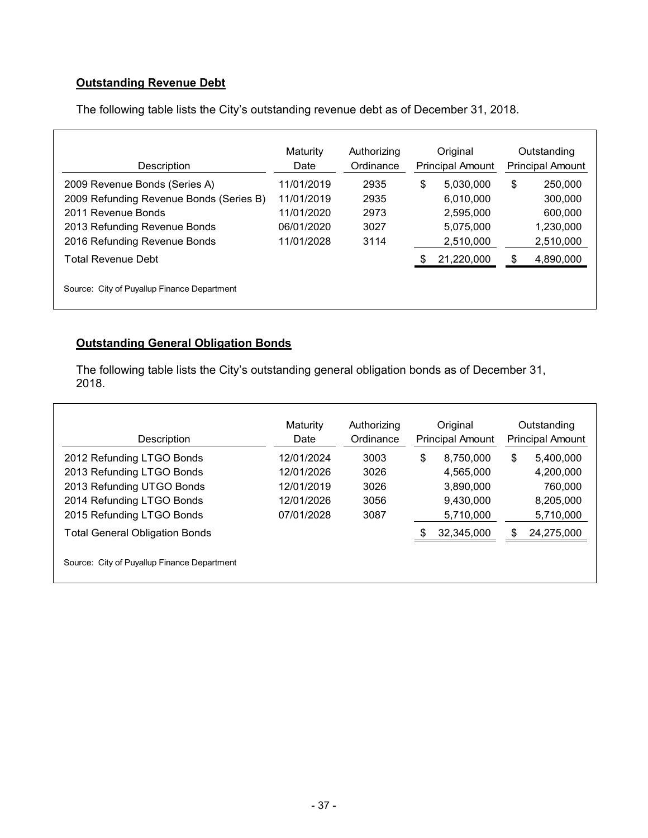# **Outstanding Revenue Debt**

The following table lists the City's outstanding revenue debt as of December 31, 2018.

| Description                                 | Maturity<br>Date | Authorizing<br>Ordinance | Original<br><b>Principal Amount</b> | Outstanding<br><b>Principal Amount</b> |           |  |  |
|---------------------------------------------|------------------|--------------------------|-------------------------------------|----------------------------------------|-----------|--|--|
| 2009 Revenue Bonds (Series A)               | 11/01/2019       | 2935                     | \$<br>5,030,000                     | \$                                     | 250,000   |  |  |
| 2009 Refunding Revenue Bonds (Series B)     | 11/01/2019       | 2935                     | 6,010,000                           |                                        | 300,000   |  |  |
| 2011 Revenue Bonds                          | 11/01/2020       | 2973                     | 2,595,000                           |                                        | 600,000   |  |  |
| 2013 Refunding Revenue Bonds                | 06/01/2020       | 3027                     | 5,075,000                           |                                        | 1,230,000 |  |  |
| 2016 Refunding Revenue Bonds                | 11/01/2028       | 3114                     | 2,510,000                           |                                        | 2,510,000 |  |  |
| Total Revenue Debt                          |                  |                          | 21,220,000                          |                                        | 4,890,000 |  |  |
| Source: City of Puyallup Finance Department |                  |                          |                                     |                                        |           |  |  |

### **Outstanding General Obligation Bonds**

Г

The following table lists the City's outstanding general obligation bonds as of December 31, 2018.

| Description                                 | Maturity<br>Date | Authorizing<br>Ordinance | Original<br><b>Principal Amount</b> |    | Outstanding<br><b>Principal Amount</b> |
|---------------------------------------------|------------------|--------------------------|-------------------------------------|----|----------------------------------------|
| 2012 Refunding LTGO Bonds                   | 12/01/2024       | 3003                     | \$<br>8.750.000                     | \$ | 5,400,000                              |
| 2013 Refunding LTGO Bonds                   | 12/01/2026       | 3026                     | 4,565,000                           |    | 4,200,000                              |
| 2013 Refunding UTGO Bonds                   | 12/01/2019       | 3026                     | 3,890,000                           |    | 760,000                                |
| 2014 Refunding LTGO Bonds                   | 12/01/2026       | 3056                     | 9.430.000                           |    | 8,205,000                              |
| 2015 Refunding LTGO Bonds                   | 07/01/2028       | 3087                     | 5,710,000                           |    | 5,710,000                              |
| <b>Total General Obligation Bonds</b>       |                  |                          | 32,345,000                          | S. | 24,275,000                             |
| Source: City of Puyallup Finance Department |                  |                          |                                     |    |                                        |